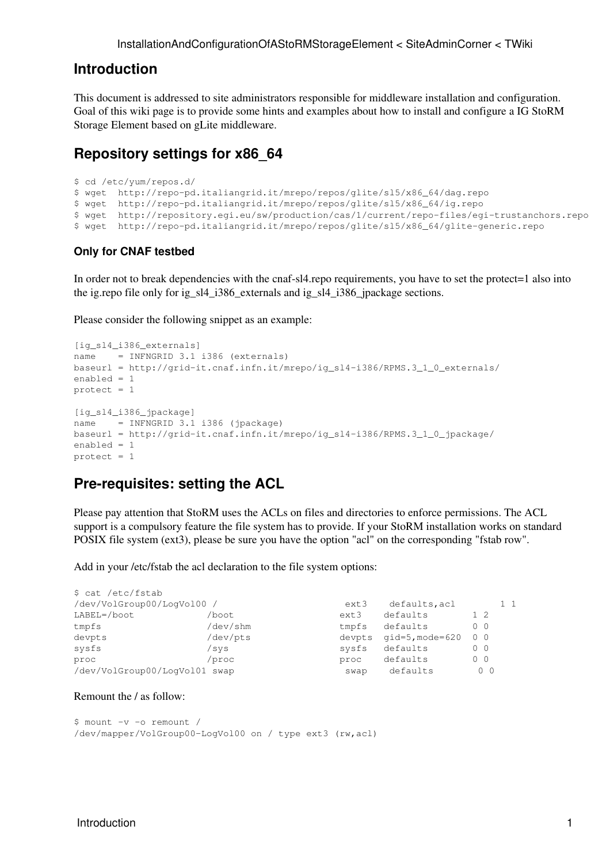### **Introduction**

This document is addressed to site administrators responsible for middleware installation and configuration. Goal of this wiki page is to provide some hints and examples about how to install and configure a IG [StoRM](https://wiki-igi.cnaf.infn.it/twiki/bin/edit/SiteAdminCorner/StoRM?topicparent=SiteAdminCorner.InstallationAndConfigurationOfAStoRMStorageElement;nowysiwyg=0) Storage Element based on gLite middleware.

# **Repository settings for x86\_64**

```
$ cd /etc/yum/repos.d/
$ wget http://repo-pd.italiangrid.it/mrepo/repos/glite/sl5/x86_64/dag.repo
$ wget http://repo-pd.italiangrid.it/mrepo/repos/glite/sl5/x86_64/ig.repo
$ wget http://repository.egi.eu/sw/production/cas/1/current/repo-files/egi-trustanchors.repo
$ wget http://repo-pd.italiangrid.it/mrepo/repos/glite/sl5/x86_64/glite-generic.repo
```
### **Only for CNAF testbed**

In order not to break dependencies with the cnaf-sl4.repo requirements, you have to set the protect=1 also into the ig.repo file only for ig\_sl4\_i386\_externals and ig\_sl4\_i386\_jpackage sections.

Please consider the following snippet as an example:

```
[ig_sl4_i386_externals]
name = INFNGRID 3.1 i386 (externals)
baseurl = http://grid-it.cnaf.infn.it/mrepo/ig_sl4-i386/RPMS.3_1_0_externals/
enahled = 1protect = 1[ig_sl4_i386_jpackage]
name = INFNGRID 3.1 i386 (jpackage)
baseurl = http://grid-it.cnaf.infn.it/mrepo/ig_sl4-i386/RPMS.3_1_0_jpackage/
enabled = 1
protest = 1
```
# **Pre-requisites: setting the ACL**

Please pay attention that [StoRM](https://wiki-igi.cnaf.infn.it/twiki/bin/edit/SiteAdminCorner/StoRM?topicparent=SiteAdminCorner.InstallationAndConfigurationOfAStoRMStorageElement;nowysiwyg=0) uses the ACLs on files and directories to enforce permissions. The ACL support is a compulsory feature the file system has to provide. If your [StoRM](https://wiki-igi.cnaf.infn.it/twiki/bin/edit/SiteAdminCorner/StoRM?topicparent=SiteAdminCorner.InstallationAndConfigurationOfAStoRMStorageElement;nowysiwyg=0) installation works on standard POSIX file system (ext3), please be sure you have the option "acl" on the corresponding "fstab row".

Add in your /etc/fstab the acl declaration to the file system options:

| \$ cat /etc/fstab             |          |        |                 |                |           |
|-------------------------------|----------|--------|-----------------|----------------|-----------|
| /dev/VolGroup00/LogVol00 /    |          | ext3   | defaults, acl   |                | $1\quad1$ |
| $LABEL= /boot$                | boot/    | ext3   | defaults        | $1 \t2$        |           |
| tmpfs                         | dev/shm/ | tmpfs  | defaults        | $0\quad 0$     |           |
| devpts                        | /dev/pts | devpts | qid=5, mode=620 | 0 <sub>0</sub> |           |
| sysfs                         | /svs     | sysfs  | defaults        | $0\quad 0$     |           |
| proc                          | /proc    | proc   | defaults        | $0\quad 0$     |           |
| /dev/VolGroup00/LoqVol01 swap |          | swap   | defaults        | $0\quad 0$     |           |

#### Remount the / as follow:

```
$ mount -v -o remount /
/dev/mapper/VolGroup00-LogVol00 on / type ext3 (rw,acl)
```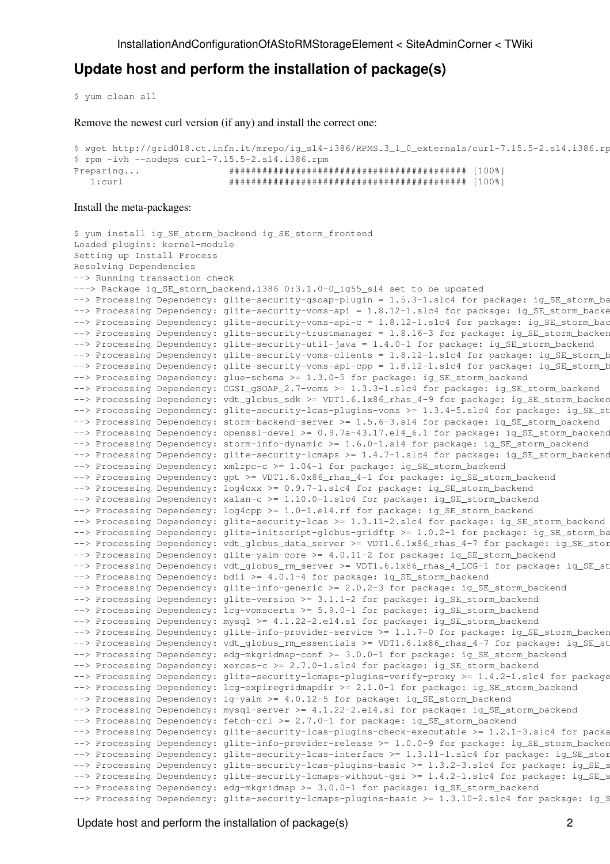### **Update host and perform the installation of package(s)**

\$ yum clean all

Remove the newest curl version (if any) and install the correct one:

```
$ wget http://grid018.ct.infn.it/mrepo/ig_sl4-i386/RPMS.3_1_0_externals/curl-7.15.5-2.sl4.i386.rpm
$ rpm -ivh --nodeps curl-7.15.5-2.sl4.i386.rpm
Preparing... ########################################### [100%]
   1:curl ########################################### [100%]
```
#### Install the meta-packages:

```
$ yum install ig SE storm backend ig SE storm frontend
Loaded plugins: kernel-module
Setting up Install Process
Resolving Dependencies
--> Running transaction check
---> Package ig_SE_storm_backend.i386 0:3.1.0-0_ig55_sl4 set to be updated
--> Processing Dependency: glite-security-gsoap-plugin = 1.5.3-1.slc4 for package: ig_SE_storm_ba
--> Processing Dependency: glite-security-voms-api = 1.8.12-1.slc4 for package: ig_SE_storm_backe
--> Processing Dependency: glite-security-voms-api-c = 1.8.12-1.slc4 for package: ig_SE_storm_bac
--> Processing Dependency: glite-security-trustmanager = 1.8.16-3 for package: ig_SE_storm_backen
--> Processing Dependency: glite-security-util-java = 1.4.0-1 for package: ig_SE_storm_backend
--> Processing Dependency: glite-security-voms-clients = 1.8.12-1.slc4 for package: ig_SE_storm_b
--> Processing Dependency: glite-security-voms-api-cpp = 1.8.12-1.slc4 for package: ig_SE_storm_b
--> Processing Dependency: glue-schema >= 1.3.0-5 for package: ig SE storm backend
--> Processing Dependency: CGSI_gSOAP_2.7-voms >= 1.3.3-1.slc4 for package: ig_SE_storm_backend
--> Processing Dependency: vdt_globus_sdk >= VDT1.6.1x86_rhas_4-9 for package: ig_SE_storm_backen
--> Processing Dependency: glite-security-lcas-plugins-voms >= 1.3.4-5.slc4 for package: ig_SE_st
--> Processing Dependency: storm-backend-server >= 1.5.6-3.sl4 for package: iq_SE_storm_backend
--> Processing Dependency: openssl-devel >= 0.9.7a-43.17.el4_6.1 for package: ig_SE_storm_backend
--> Processing Dependency: storm-info-dynamic >= 1.6.0-1.sl4 for package: ig_SE_storm_backend
--> Processing Dependency: glite-security-lcmaps >= 1.4.7-1.slc4 for package: ig_SE_storm_backend
--> Processing Dependency: xmlrpc-c >= 1.04-1 for package: ig_SE_storm_backend
--> Processing Dependency: gpt >= VDT1.6.0x86_rhas_4-1 for package: ig_SE_storm_backend
--> Processing Dependency: log4cxx >= 0.9.7-1.slc4 for package: ig_SE_storm_backend
--> Processing Dependency: xalan-c >= 1.10.0-1.slc4 for package: ig_SE_storm_backend
--> Processing Dependency: log4cpp >= 1.0-1.el4.rf for package: ig_SE_storm_backend
--> Processing Dependency: glite-security-lcas >= 1.3.11-2.slc4 for package: ig_SE_storm_backend
--> Processing Dependency: glite-initscript-globus-gridftp >= 1.0.2-1 for package: ig_SE_storm_ba
--> Processing Dependency: vdt_globus_data_server >= VDT1.6.1x86_rhas_4-7 for package: ig_SE_stor
--> Processing Dependency: glite-yaim-core >= 4.0.11-2 for package: ig_SE_storm_backend
--> Processing Dependency: vdt_globus_rm_server >= VDT1.6.1x86_rhas_4_LCG-1 for package: ig_SE_st
--> Processing Dependency: bdii >= 4.0.1-4 for package: ig_SE_storm_backend
--> Processing Dependency: glite-info-generic >= 2.0.2-3 for package: ig_SE_storm_backend
--> Processing Dependency: glite-version >= 3.1.1-2 for package: ig_SE_storm_backend
--> Processing Dependency: lcg-vomscerts >= 5.9.0-1 for package: ig_SE_storm_backend
--> Processing Dependency: mysql >= 4.1.22-2.el4.sl for package: ig_SE_storm_backend
--> Processing Dependency: glite-info-provider-service >= 1.1.7-0 for package: ig_SE_storm_backen
--> Processing Dependency: vdt_globus_rm_essentials >= VDT1.6.1x86_rhas_4-7 for package: ig_SE_st
--> Processing Dependency: edg-mkgridmap-conf >= 3.0.0-1 for package: ig_SE_storm_backend
--> Processing Dependency: xerces-c >= 2.7.0-1.slc4 for package: ig_SE_storm_backend
--> Processing Dependency: glite-security-lcmaps-plugins-verify-proxy >= 1.4.2-1.slc4 for package
--> Processing Dependency: lcg-expiregridmapdir >= 2.1.0-1 for package: ig_SE_storm_backend
--> Processing Dependency: ig-yaim >= 4.0.12-5 for package: ig_SE_storm_backend
--> Processing Dependency: mysql-server >= 4.1.22-2.el4.sl for package: ig_SE_storm_backend
--> Processing Dependency: fetch-crl >= 2.7.0-1 for package: ig_SE_storm_backend
--> Processing Dependency: glite-security-lcas-plugins-check-executable >= 1.2.1-3.slc4 for packa
--> Processing Dependency: glite-info-provider-release >= 1.0.0-9 for package: ig_SE_storm_backen
--> Processing Dependency: glite-security-lcas-interface >= 1.3.11-1.slc4 for package: ig_SE_stor
--> Processing Dependency: glite-security-lcas-plugins-basic >= 1.3.2-3.slc4 for package: ig_SE_s
--> Processing Dependency: glite-security-lcmaps-without-gsi >= 1.4.2-1.slc4 for package: ig_SE_s
--> Processing Dependency: edg-mkgridmap >= 3.0.0-1 for package: ig_SE_storm_backend
--> Processing Dependency: glite-security-lcmaps-plugins-basic >= 1.3.10-2.slc4 for package: ig_S
```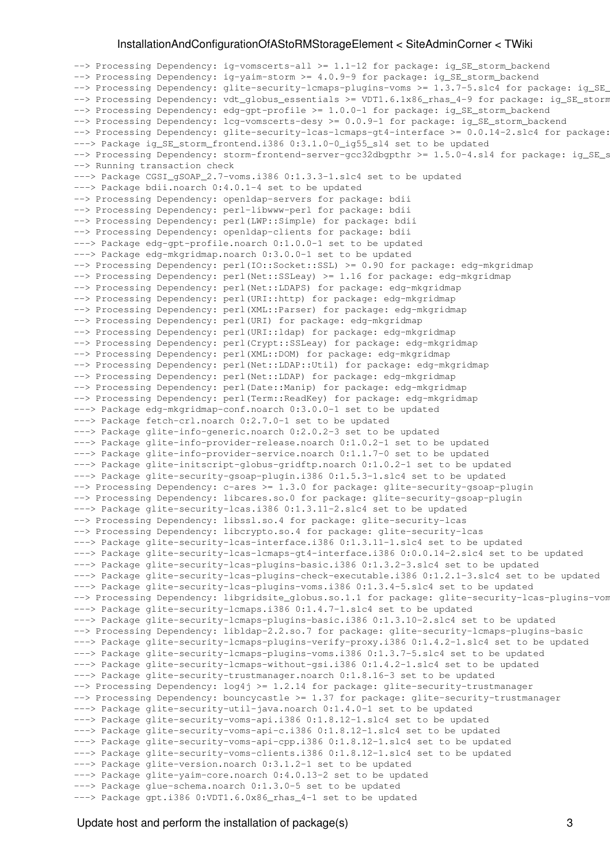```
--> Processing Dependency: ig-vomscerts-all >= 1.1-12 for package: ig_SE_storm_backend
--> Processing Dependency: ig-yaim-storm >= 4.0.9-9 for package: ig_SE_storm_backend
--> Processing Dependency: glite-security-lcmaps-plugins-voms >= 1.3.7-5.slc4 for package: ig_SE_
--> Processing Dependency: vdt_globus_essentials >= VDT1.6.1x86_rhas_4-9 for package: ig_SE_storm
--> Processing Dependency: edg-gpt-profile >= 1.0.0-1 for package: ig_SE_storm_backend
--> Processing Dependency: lcg-vomscerts-desy >= 0.0.9-1 for package: ig_SE_storm_backend
--> Processing Dependency: glite-security-lcas-lcmaps-gt4-interface >= 0.0.14-2.slc4 for package:
---> Package ig_SE_storm_frontend.i386 0:3.1.0-0_ig55_sl4 set to be updated
--> Processing Dependency: storm-frontend-server-gcc32dbgpthr >= 1.5.0-4.sl4 for package: ig_SE_s
--> Running transaction check
---> Package CGSI_gSOAP_2.7-voms.i386 0:1.3.3-1.slc4 set to be updated
---> Package bdii.noarch 0:4.0.1-4 set to be updated
--> Processing Dependency: openldap-servers for package: bdii
--> Processing Dependency: perl-libwww-perl for package: bdii
--> Processing Dependency: perl(LWP::Simple) for package: bdii
--> Processing Dependency: openldap-clients for package: bdii
---> Package edg-gpt-profile.noarch 0:1.0.0-1 set to be updated
---> Package edg-mkgridmap.noarch 0:3.0.0-1 set to be updated
--> Processing Dependency: perl(IO::Socket::SSL) >= 0.90 for package: edg-mkgridmap
--> Processing Dependency: perl(Net::SSLeay) >= 1.16 for package: edg-mkgridmap
--> Processing Dependency: perl(Net::LDAPS) for package: edg-mkgridmap
--> Processing Dependency: perl(URI::http) for package: edg-mkgridmap
--> Processing Dependency: perl(XML::Parser) for package: edg-mkgridmap
--> Processing Dependency: perl(URI) for package: edg-mkgridmap
--> Processing Dependency: perl(URI::ldap) for package: edg-mkgridmap
--> Processing Dependency: perl(Crypt::SSLeay) for package: edg-mkgridmap
--> Processing Dependency: perl(XML::DOM) for package: edg-mkgridmap
--> Processing Dependency: perl (Net::LDAP::Util) for package: edg-mkgridmap
--> Processing Dependency: perl (Net::LDAP) for package: edg-mkgridmap
--> Processing Dependency: perl (Date::Manip) for package: edg-mkgridmap
--> Processing Dependency: perl(Term::ReadKey) for package: edg-mkgridmap
---> Package edg-mkgridmap-conf.noarch 0:3.0.0-1 set to be updated
---> Package fetch-crl.noarch 0:2.7.0-1 set to be updated
---> Package glite-info-generic.noarch 0:2.0.2-3 set to be updated
---> Package glite-info-provider-release.noarch 0:1.0.2-1 set to be updated
---> Package glite-info-provider-service.noarch 0:1.1.7-0 set to be updated
---> Package glite-initscript-globus-gridftp.noarch 0:1.0.2-1 set to be updated
---> Package glite-security-gsoap-plugin.i386 0:1.5.3-1.slc4 set to be updated
--> Processing Dependency: c-ares >= 1.3.0 for package: glite-security-gsoap-plugin
--> Processing Dependency: libcares.so.0 for package: glite-security-gsoap-plugin
---> Package glite-security-lcas.i386 0:1.3.11-2.slc4 set to be updated
--> Processing Dependency: libssl.so.4 for package: glite-security-lcas
--> Processing Dependency: libcrypto.so.4 for package: glite-security-lcas
---> Package glite-security-lcas-interface.i386 0:1.3.11-1.slc4 set to be updated
---> Package glite-security-lcas-lcmaps-gt4-interface.i386 0:0.0.14-2.slc4 set to be updated
---> Package glite-security-lcas-plugins-basic.i386 0:1.3.2-3.slc4 set to be updated
---> Package glite-security-lcas-plugins-check-executable.i386 0:1.2.1-3.slc4 set to be updated
---> Package glite-security-lcas-plugins-voms.i386 0:1.3.4-5.slc4 set to be updated
--> Processing Dependency: libgridsite_globus.so.1.1 for package: glite-security-lcas-plugins-vom
---> Package glite-security-lcmaps.i386 0:1.4.7-1.slc4 set to be updated
---> Package glite-security-lcmaps-plugins-basic.i386 0:1.3.10-2.slc4 set to be updated
--> Processing Dependency: libldap-2.2.so.7 for package: glite-security-lcmaps-plugins-basic
---> Package glite-security-lcmaps-plugins-verify-proxy.i386 0:1.4.2-1.slc4 set to be updated
---> Package glite-security-lcmaps-plugins-voms.i386 0:1.3.7-5.slc4 set to be updated
---> Package glite-security-lcmaps-without-gsi.i386 0:1.4.2-1.slc4 set to be updated
---> Package glite-security-trustmanager.noarch 0:1.8.16-3 set to be updated
--> Processing Dependency: log4j >= 1.2.14 for package: glite-security-trustmanager
--> Processing Dependency: bouncycastle >= 1.37 for package: glite-security-trustmanager
---> Package glite-security-util-java.noarch 0:1.4.0-1 set to be updated
---> Package glite-security-voms-api.i386 0:1.8.12-1.slc4 set to be updated
---> Package glite-security-voms-api-c.i386 0:1.8.12-1.slc4 set to be updated
---> Package glite-security-voms-api-cpp.i386 0:1.8.12-1.slc4 set to be updated
---> Package glite-security-voms-clients.i386 0:1.8.12-1.slc4 set to be updated
---> Package glite-version.noarch 0:3.1.2-1 set to be updated
---> Package glite-yaim-core.noarch 0:4.0.13-2 set to be updated
---> Package glue-schema.noarch 0:1.3.0-5 set to be updated
---> Package gpt.i386 0:VDT1.6.0x86_rhas_4-1 set to be updated
```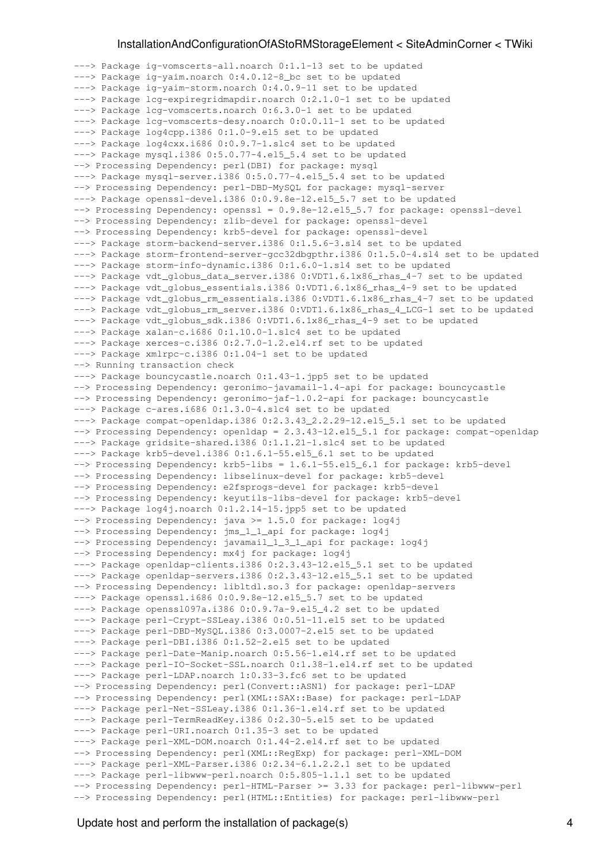---> Package ig-vomscerts-all.noarch 0:1.1-13 set to be updated ---> Package ig-yaim.noarch 0:4.0.12-8 bc set to be updated ---> Package ig-yaim-storm.noarch 0:4.0.9-11 set to be updated ---> Package lcg-expiregridmapdir.noarch 0:2.1.0-1 set to be updated ---> Package lcg-vomscerts.noarch 0:6.3.0-1 set to be updated ---> Package lcg-vomscerts-desy.noarch 0:0.0.11-1 set to be updated ---> Package log4cpp.i386 0:1.0-9.el5 set to be updated ---> Package log4cxx.i686 0:0.9.7-1.slc4 set to be updated ---> Package mysql.i386 0:5.0.77-4.el5\_5.4 set to be updated --> Processing Dependency: perl(DBI) for package: mysql ---> Package mysql-server.i386 0:5.0.77-4.el5 5.4 set to be updated --> Processing Dependency: perl-DBD-MySQL for package: mysql-server ---> Package openssl-devel.i386 0:0.9.8e-12.el5\_5.7 set to be updated --> Processing Dependency: openssl = 0.9.8e-12.el5\_5.7 for package: openssl-devel --> Processing Dependency: zlib-devel for package: openssl-devel --> Processing Dependency: krb5-devel for package: openssl-devel ---> Package storm-backend-server.i386 0:1.5.6-3.sl4 set to be updated ---> Package storm-frontend-server-gcc32dbgpthr.i386 0:1.5.0-4.sl4 set to be updated ---> Package storm-info-dynamic.i386 0:1.6.0-1.sl4 set to be updated ---> Package vdt globus data server.i386 0:VDT1.6.1x86 rhas 4-7 set to be updated ---> Package vdt\_globus\_essentials.i386 0:VDT1.6.1x86\_rhas\_4-9 set to be updated ---> Package vdt\_globus\_rm\_essentials.i386 0:VDT1.6.1x86\_rhas\_4-7 set to be updated ---> Package vdt\_globus\_rm\_server.i386 0:VDT1.6.1x86\_rhas\_4\_LCG-1 set to be updated ---> Package vdt\_globus\_sdk.i386 0:VDT1.6.1x86\_rhas\_4-9 set to be updated ---> Package xalan-c.i686 0:1.10.0-1.slc4 set to be updated ---> Package xerces-c.i386 0:2.7.0-1.2.el4.rf set to be updated ---> Package xmlrpc-c.i386 0:1.04-1 set to be updated --> Running transaction check ---> Package bouncycastle.noarch 0:1.43-1.jpp5 set to be updated --> Processing Dependency: geronimo-javamail-1.4-api for package: bouncycastle --> Processing Dependency: geronimo-jaf-1.0.2-api for package: bouncycastle ---> Package c-ares.i686 0:1.3.0-4.slc4 set to be updated ---> Package compat-openldap.i386 0:2.3.43\_2.2.29-12.el5\_5.1 set to be updated --> Processing Dependency: openldap = 2.3.43-12.el5\_5.1 for package: compat-openldap ---> Package gridsite-shared.i386 0:1.1.21-1.slc4 set to be updated ---> Package krb5-devel.i386 0:1.6.1-55.el5\_6.1 set to be updated --> Processing Dependency: krb5-libs = 1.6.1-55.el5\_6.1 for package: krb5-devel --> Processing Dependency: libselinux-devel for package: krb5-devel --> Processing Dependency: e2fsprogs-devel for package: krb5-devel --> Processing Dependency: keyutils-libs-devel for package: krb5-devel ---> Package log4j.noarch 0:1.2.14-15.jpp5 set to be updated --> Processing Dependency: java >= 1.5.0 for package: log4j --> Processing Dependency: jms\_1\_1\_api for package: log4j --> Processing Dependency: javamail\_1\_3\_1\_api for package: log4j --> Processing Dependency: mx4j for package: log4j ---> Package openldap-clients.i386 0:2.3.43-12.el5\_5.1 set to be updated ---> Package openldap-servers.i386 0:2.3.43-12.el5\_5.1 set to be updated --> Processing Dependency: libltdl.so.3 for package: openldap-servers ---> Package openssl.i686 0:0.9.8e-12.el5\_5.7 set to be updated ---> Package openssl097a.i386 0:0.9.7a-9.el5\_4.2 set to be updated ---> Package perl-Crypt-SSLeay.i386 0:0.51-11.el5 set to be updated ---> Package perl-DBD-MySQL.i386 0:3.0007-2.el5 set to be updated ---> Package perl-DBI.i386 0:1.52-2.el5 set to be updated ---> Package perl-Date-Manip.noarch 0:5.56-1.el4.rf set to be updated ---> Package perl-IO-Socket-SSL.noarch 0:1.38-1.el4.rf set to be updated ---> Package perl-LDAP.noarch 1:0.33-3.fc6 set to be updated --> Processing Dependency: perl(Convert::ASN1) for package: perl-LDAP --> Processing Dependency: perl(XML::SAX::Base) for package: perl-LDAP ---> Package perl-Net-SSLeay.i386 0:1.36-1.el4.rf set to be updated ---> Package perl-TermReadKey.i386 0:2.30-5.el5 set to be updated ---> Package perl-URI.noarch 0:1.35-3 set to be updated ---> Package perl-XML-DOM.noarch 0:1.44-2.el4.rf set to be updated --> Processing Dependency: perl(XML::RegExp) for package: perl-XML-DOM ---> Package perl-XML-Parser.i386 0:2.34-6.1.2.2.1 set to be updated ---> Package perl-libwww-perl.noarch 0:5.805-1.1.1 set to be updated --> Processing Dependency: perl-HTML-Parser >= 3.33 for package: perl-libwww-perl --> Processing Dependency: perl(HTML::Entities) for package: perl-libwww-perl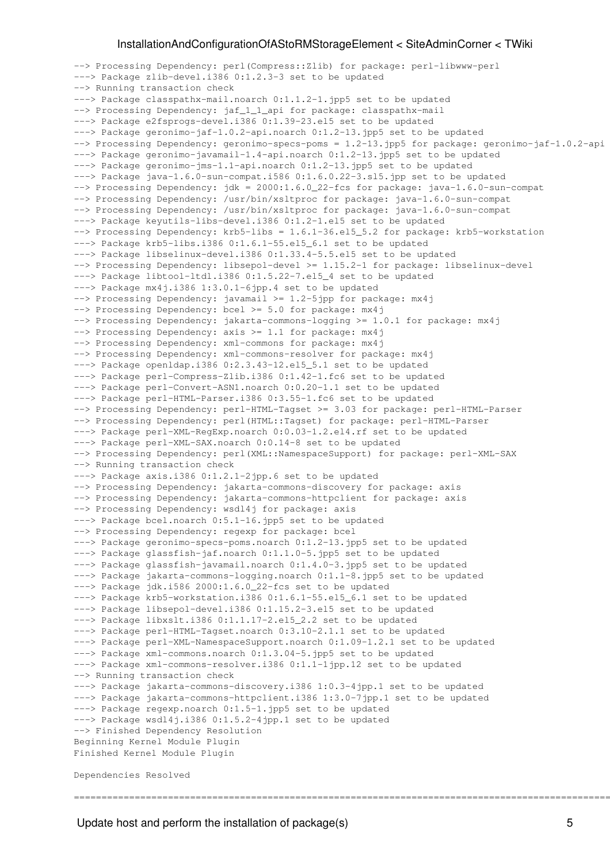```
--> Processing Dependency: perl(Compress::Zlib) for package: perl-libwww-perl
---> Package zlib-devel.i386 0:1.2.3-3 set to be updated
--> Running transaction check
---> Package classpathx-mail.noarch 0:1.1.2-1.jpp5 set to be updated
--> Processing Dependency: jaf_1_1_api for package: classpathx-mail
---> Package e2fsprogs-devel.i386 0:1.39-23.el5 set to be updated
---> Package geronimo-jaf-1.0.2-api.noarch 0:1.2-13.jpp5 set to be updated
--> Processing Dependency: geronimo-specs-poms = 1.2-13.jpp5 for package: geronimo-jaf-1.0.2-api
---> Package geronimo-javamail-1.4-api.noarch 0:1.2-13.jpp5 set to be updated
---> Package geronimo-jms-1.1-api.noarch 0:1.2-13.jpp5 set to be updated
---> Package java-1.6.0-sun-compat.i586 0:1.6.0.22-3.sl5.jpp set to be updated
\rightarrow Processing Dependency: \frac{1}{10} = 2000:1.6.0 22-fcs for package: \frac{1}{10} ava-1.6.0-sun-compat
--> Processing Dependency: /usr/bin/xsltproc for package: java-1.6.0-sun-compat
--> Processing Dependency: /usr/bin/xsltproc for package: java-1.6.0-sun-compat
---> Package keyutils-libs-devel.i386 0:1.2-1.el5 set to be updated
--> Processing Dependency: krb5-libs = 1.6.1-36.el5_5.2 for package: krb5-workstation
---> Package krb5-libs.i386 0:1.6.1-55.el5_6.1 set to be updated
---> Package libselinux-devel.i386 0:1.33.4-5.5.el5 set to be updated
--> Processing Dependency: libsepol-devel >= 1.15.2-1 for package: libselinux-devel
---> Package libtool-1tdl.i386 0:1.5.22-7.el5 4 set to be updated
---> Package mx4j.i386 1:3.0.1-6jpp.4 set to be updated
--> Processing Dependency: javamail >= 1.2-5jpp for package: mx4j
--> Processing Dependency: bcel >= 5.0 for package: mx4j
--> Processing Dependency: jakarta-commons-logging >= 1.0.1 for package: mx4j
--> Processing Dependency: axis >= 1.1 for package: mx4j
--> Processing Dependency: xml-commons for package: mx4j
--> Processing Dependency: xml-commons-resolver for package: mx4j
---> Package openldap.i386 0:2.3.43-12.el5_5.1 set to be updated
---> Package perl-Compress-Zlib.i386 0:1.42-1.fc6 set to be updated
---> Package perl-Convert-ASN1.noarch 0:0.20-1.1 set to be updated
---> Package perl-HTML-Parser.i386 0:3.55-1.fc6 set to be updated
--> Processing Dependency: perl-HTML-Tagset >= 3.03 for package: perl-HTML-Parser
--> Processing Dependency: perl(HTML::Tagset) for package: perl-HTML-Parser
---> Package perl-XML-RegExp.noarch 0:0.03-1.2.el4.rf set to be updated
---> Package perl-XML-SAX.noarch 0:0.14-8 set to be updated
--> Processing Dependency: perl(XML::NamespaceSupport) for package: perl-XML-SAX
--> Running transaction check
---> Package axis.i386 0:1.2.1-2jpp.6 set to be updated
--> Processing Dependency: jakarta-commons-discovery for package: axis
--> Processing Dependency: jakarta-commons-httpclient for package: axis
--> Processing Dependency: wsdl4j for package: axis
---> Package bcel.noarch 0:5.1-16.jpp5 set to be updated
--> Processing Dependency: regexp for package: bcel
---> Package geronimo-specs-poms.noarch 0:1.2-13.jpp5 set to be updated
---> Package glassfish-jaf.noarch 0:1.1.0-5.jpp5 set to be updated
---> Package glassfish-javamail.noarch 0:1.4.0-3.jpp5 set to be updated
---> Package jakarta-commons-logging.noarch 0:1.1-8.jpp5 set to be updated
---> Package jdk.i586 2000:1.6.0_22-fcs set to be updated
---> Package krb5-workstation.i386 0:1.6.1-55.el5_6.1 set to be updated
---> Package libsepol-devel.i386 0:1.15.2-3.el5 set to be updated
---> Package libxslt.i386 0:1.1.17-2.el5_2.2 set to be updated
---> Package perl-HTML-Tagset.noarch 0:3.10-2.1.1 set to be updated
---> Package perl-XML-NamespaceSupport.noarch 0:1.09-1.2.1 set to be updated
---> Package xml-commons.noarch 0:1.3.04-5.jpp5 set to be updated
---> Package xml-commons-resolver.i386 0:1.1-1jpp.12 set to be updated
--> Running transaction check
---> Package jakarta-commons-discovery.i386 1:0.3-4jpp.1 set to be updated
---> Package jakarta-commons-httpclient.i386 1:3.0-7jpp.1 set to be updated
---> Package regexp.noarch 0:1.5-1.jpp5 set to be updated
---> Package wsdl4j.i386 0:1.5.2-4jpp.1 set to be updated
--> Finished Dependency Resolution
Beginning Kernel Module Plugin
Finished Kernel Module Plugin
Dependencies Resolved
```
=============================================================================================================================================================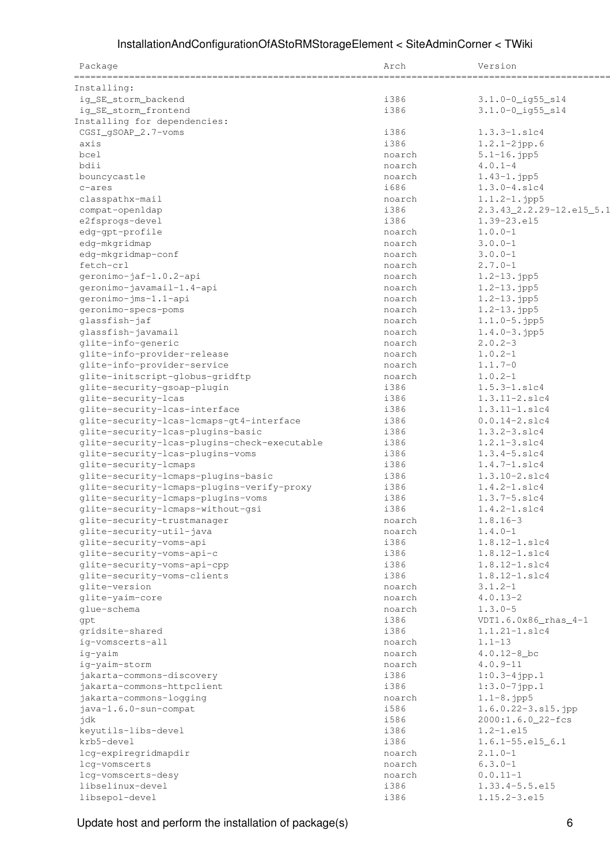| InstallationAndConfigurationOfAStoRMStorageElement < SiteAdminCorner < TWiki |  |  |
|------------------------------------------------------------------------------|--|--|
|------------------------------------------------------------------------------|--|--|

| Package                                      | Arch   | Version                  |  |
|----------------------------------------------|--------|--------------------------|--|
|                                              |        |                          |  |
| Installing:                                  |        |                          |  |
| ig_SE_storm_backend                          | i386   | $3.1.0 - 0$ _ig55_s14    |  |
| ig_SE_storm_frontend                         | i386   | $3.1.0 - 0$ _ig55_sl4    |  |
| Installing for dependencies:                 |        |                          |  |
| CGSI_gSOAP_2.7-voms                          | i386   | $1.3.3 - 1.$ slc4        |  |
| axis                                         | i386   | $1.2.1 - 2jpp.6$         |  |
| bcel                                         | noarch | $5.1 - 16.$ jpp5         |  |
| bdii                                         | noarch | $4.0.1 - 4$              |  |
| bouncycastle                                 | noarch | $1.43 - 1.$ jpp5         |  |
| c-ares                                       | i686   | $1.3.0 - 4.$ slc4        |  |
| classpathx-mail                              | noarch | $1.1.2 - 1.$ jpp5        |  |
| compat-openldap                              | i386   | 2.3.43_2.2.29-12.el5_5.1 |  |
| e2fsprogs-devel                              | i386   | $1.39 - 23. e15$         |  |
| edg-gpt-profile                              | noarch | $1.0.0 - 1$              |  |
| edg-mkgridmap                                | noarch | $3.0.0 - 1$              |  |
| edg-mkgridmap-conf                           | noarch | $3.0.0 - 1$              |  |
| fetch-crl                                    | noarch | $2.7.0 - 1$              |  |
| qeronimo-jaf-1.0.2-api                       | noarch | $1.2 - 13.jpp5$          |  |
| geronimo-javamail-1.4-api                    | noarch | $1.2 - 13.$ jpp5         |  |
| geronimo-jms-1.1-api                         | noarch | $1.2 - 13.$ jpp5         |  |
| geronimo-specs-poms                          | noarch | $1.2 - 13.$ jpp5         |  |
| glassfish-jaf                                | noarch | $1.1.0 - 5.$ jpp5        |  |
| glassfish-javamail                           | noarch | $1.4.0 - 3.$ jpp5        |  |
| glite-info-generic                           | noarch | $2.0.2 - 3$              |  |
| glite-info-provider-release                  | noarch | $1.0.2 - 1$              |  |
| glite-info-provider-service                  | noarch | $1.1.7 - 0$              |  |
| glite-initscript-globus-gridftp              | noarch | $1.0.2 - 1$              |  |
| glite-security-gsoap-plugin                  | i386   | $1.5.3 - 1.$ slc4        |  |
| glite-security-lcas                          | i386   | $1.3.11 - 2.11c4$        |  |
| glite-security-lcas-interface                | i386   | $1.3.11 - 1.$ slc4       |  |
| glite-security-lcas-lcmaps-gt4-interface     | i386   | $0.0.14 - 2.$ slc4       |  |
| glite-security-lcas-plugins-basic            | i386   | $1.3.2 - 3.$ slc4        |  |
| glite-security-lcas-plugins-check-executable | i386   | $1.2.1 - 3.$ slc4        |  |
| glite-security-lcas-plugins-voms             | i386   | $1.3.4 - 5.$ slc4        |  |
| glite-security-lcmaps                        | i386   | $1.4.7 - 1.$ slc4        |  |
| glite-security-lcmaps-plugins-basic          | i386   | $1.3.10 - 2.$ slc4       |  |
| glite-security-lcmaps-plugins-verify-proxy   | i386   | $1.4.2 - 1.$ slc4        |  |
| glite-security-lcmaps-plugins-voms           | i386   | $1.3.7 - 5.$ slc4        |  |
| glite-security-lcmaps-without-gsi            | i386   | $1.4.2 - 1.$ slc4        |  |
| glite-security-trustmanager                  | noarch | $1.8.16 - 3$             |  |
| glite-security-util-java                     | noarch | $1.4.0 - 1$              |  |
| glite-security-voms-api                      | i386   | $1.8.12 - 1.$ slc4       |  |
| glite-security-voms-api-c                    | i386   | $1.8.12 - 1.$ slc4       |  |
| glite-security-voms-api-cpp                  | i386   | $1.8.12 - 1.$ slc4       |  |
| glite-security-voms-clients                  | i386   | $1.8.12 - 1.$ slc4       |  |
| glite-version                                | noarch | $3.1.2 - 1$              |  |
| glite-yaim-core                              | noarch | $4.0.13 - 2$             |  |
| glue-schema                                  | noarch | $1.3.0 - 5$              |  |
| gpt                                          | i386   | VDT1.6.0x86_rhas_4-1     |  |
| gridsite-shared                              | i386   | $1.1.21 - 1.$ slc4       |  |
| iq-vomscerts-all                             | noarch | $1.1 - 13$               |  |
| ig-yaim                                      | noarch | $4.0.12 - 8$ bc          |  |
| ig-yaim-storm                                | noarch | $4.0.9 - 11$             |  |
| jakarta-commons-discovery                    | i386   | $1:0.3-4jpp.1$           |  |
| jakarta-commons-httpclient                   | i386   | $1:3.0-7jpp.1$           |  |
| jakarta-commons-logging                      | noarch | $1.1 - 8.$ jpp $5$       |  |
| java-1.6.0-sun-compat                        | i586   | $1.6.0.22 - 3. s15.$ jpp |  |
| jdk                                          | i586   | 2000:1.6.0_22-fcs        |  |
| keyutils-libs-devel                          | i386   | $1.2 - 1.$ el5           |  |
| krb5-devel                                   | i386   | $1.6.1 - 55.$ el $5_6.1$ |  |
| lcg-expiregridmapdir                         | noarch | $2.1.0 - 1$              |  |
| lcq-vomscerts                                | noarch | $6.3.0 - 1$              |  |
| lcg-vomscerts-desy                           | noarch | $0.0.11 - 1$             |  |
| libselinux-devel                             | i386   | $1.33.4 - 5.5. e15$      |  |
| libsepol-devel                               | i386   | 1.15.2-3.el5             |  |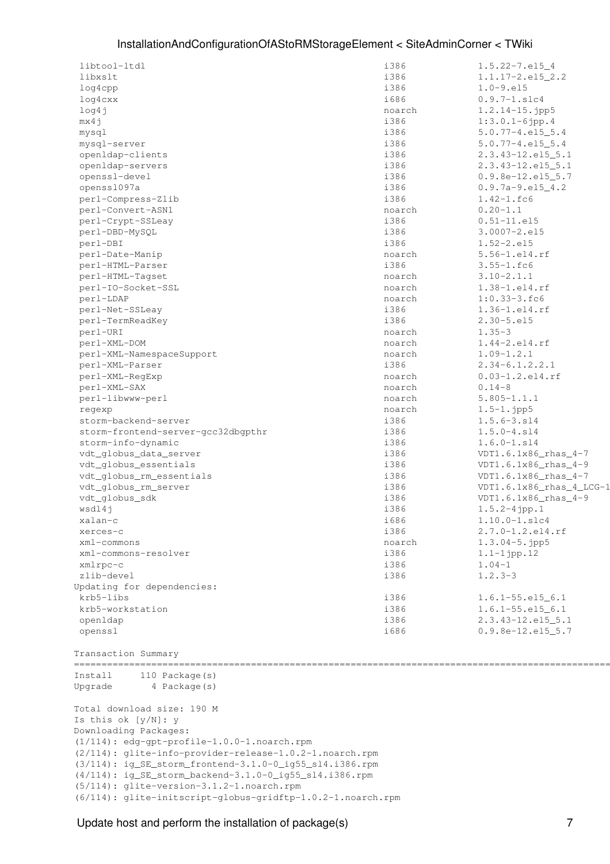| libtool-ltdl                                                | i386   | $1.5.22 - 7.15 - 4$       |
|-------------------------------------------------------------|--------|---------------------------|
| libxslt                                                     | i386   | $1.1.17 - 2.15 - 2.2$     |
| log4cpp                                                     | i386   | $1.0 - 9.015$             |
|                                                             | i686   |                           |
| log4cxx                                                     |        | $0.9.7 - 1.$ slc4         |
| log4j                                                       | noarch | $1.2.14 - 15.$ jpp5       |
| mx4j                                                        | i386   | $1:3.0.1-6jpp.4$          |
| mysql                                                       | i386   | $5.0.77 - 4.015 - 5.4$    |
| mysql-server                                                | i386   | $5.0.77 - 4.015 - 5.4$    |
| openldap-clients                                            | i386   | 2.3.43-12.el5_5.1         |
| openldap-servers                                            | i386   | 2.3.43-12.el5_5.1         |
| openssl-devel                                               | i386   | $0.9.8e-12.el5-5.7$       |
| openss1097a                                                 | i386   | $0.9.7a-9.el5_4.2$        |
| perl-Compress-Zlib                                          | i386   | $1.42 - 1.5c6$            |
| perl-Convert-ASN1                                           | noarch | $0.20 - 1.1$              |
| perl-Crypt-SSLeay                                           | i386   | $0.51 - 11. e15$          |
| perl-DBD-MySQL                                              | i386   | $3.0007 - 2.el5$          |
| perl-DBI                                                    | i386   | $1.52 - 2.15$             |
| perl-Date-Manip                                             | noarch | $5.56 - 1.el4.rf$         |
|                                                             | i386   |                           |
| perl-HTML-Parser                                            |        | $3.55 - 1.fc6$            |
| perl-HTML-Tagset                                            | noarch | $3.10 - 2.1.1$            |
| perl-IO-Socket-SSL                                          | noarch | $1.38 - 1.$ el $4.rf$     |
| perl-LDAP                                                   | noarch | $1:0.33-3.fc6$            |
| perl-Net-SSLeay                                             | i386   | $1.36 - 1.el4.rf$         |
| perl-TermReadKey                                            | i386   | $2.30 - 5. e15$           |
| perl-URI                                                    | noarch | $1.35 - 3$                |
| perl-XML-DOM                                                | noarch | $1.44 - 2.el4.rf$         |
| perl-XML-NamespaceSupport                                   | noarch | $1.09 - 1.2.1$            |
| perl-XML-Parser                                             | i386   | $2.34 - 6.1.2.2.1$        |
| perl-XML-RegExp                                             | noarch | $0.03 - 1.2.$ el $4.rf$   |
| perl-XML-SAX                                                | noarch | $0.14 - 8$                |
| perl-libwww-perl                                            | noarch | $5.805 - 1.1.1$           |
|                                                             |        |                           |
| regexp                                                      | noarch | $1.5 - 1.$ jpp $5$        |
| storm-backend-server                                        | i386   | $1.5.6 - 3. s14$          |
| storm-frontend-server-gcc32dbgpthr                          | i386   | $1.5.0 - 4. s14$          |
| storm-info-dynamic                                          | i386   | $1.6.0 - 1. s14$          |
| vdt_globus_data_server                                      | i386   | VDT1.6.1x86_rhas_4-7      |
| vdt_globus_essentials                                       | i386   | VDT1.6.1x86_rhas_4-9      |
| vdt_globus_rm_essentials                                    | i386   | VDT1.6.1x86_rhas_4-7      |
| vdt_globus_rm_server                                        | i386   | VDT1.6.1x86_rhas_4_LCG-1  |
| vdt_globus_sdk                                              | i386   | VDT1.6.1x86_rhas_4-9      |
| wsdl4j                                                      | i386   | $1.5.2 - 4$ jpp.1         |
| xalan-c                                                     | i686   | $1.10.0 - 1.$ slc4        |
| xerces-c                                                    | i386   | 2.7.0-1.2.el4.rf          |
| xml-commons                                                 |        |                           |
|                                                             | noarch | $1.3.04 - 5.jpp5$         |
| xml-commons-resolver                                        | i386   | $1.1 - 1$ jpp. 12         |
| xmlrpc-c                                                    | i386   | $1.04 - 1$                |
| zlib-devel                                                  | i386   | $1.2.3 - 3$               |
| Updating for dependencies:                                  |        |                           |
| krb5-libs                                                   | i386   | $1.6.1 - 55.$ el $5\_6.1$ |
| krb5-workstation                                            | i386   | $1.6.1 - 55.1 - 55.1$     |
| openldap                                                    | i386   | $2.3.43 - 12.el5 - 5.1$   |
| openssl                                                     | i686   | $0.9.8e-12.el5 5.7$       |
|                                                             |        |                           |
| Transaction Summary                                         |        |                           |
|                                                             |        |                           |
| Install<br>110 Package(s)                                   |        |                           |
| 4 Package(s)<br>Upgrade                                     |        |                           |
|                                                             |        |                           |
| Total download size: 190 M                                  |        |                           |
|                                                             |        |                           |
| Is this ok $[y/N]: y$                                       |        |                           |
| Downloading Packages:                                       |        |                           |
| $(1/114)$ : edg-gpt-profile-1.0.0-1.noarch.rpm              |        |                           |
| (2/114): glite-info-provider-release-1.0.2-1.noarch.rpm     |        |                           |
| (3/114): iq_SE_storm_frontend-3.1.0-0_ig55_sl4.i386.rpm     |        |                           |
| (4/114): ig_SE_storm_backend-3.1.0-0_ig55_sl4.i386.rpm      |        |                           |
| (5/114): glite-version-3.1.2-1.noarch.rpm                   |        |                           |
| (6/114): glite-initscript-globus-gridftp-1.0.2-1.noarch.rpm |        |                           |
|                                                             |        |                           |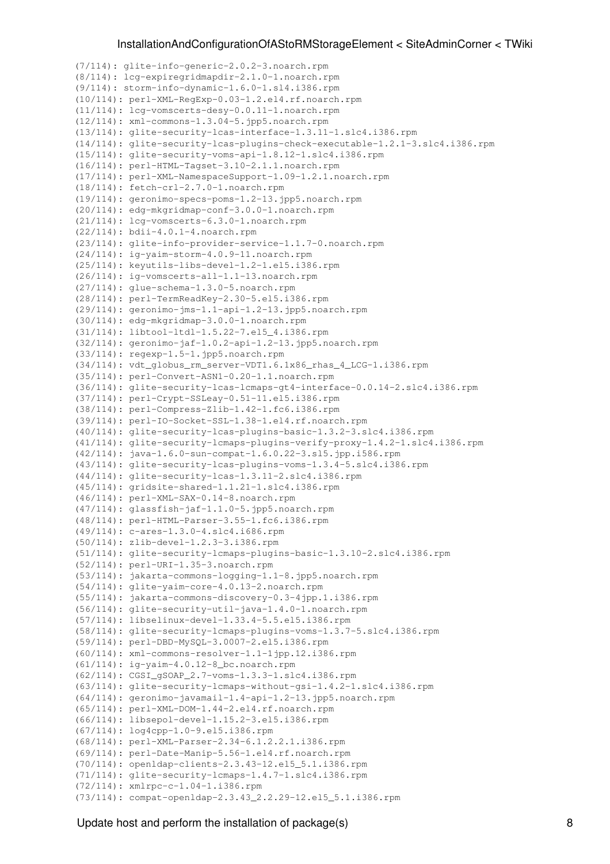$(7/114)$ : glite-info-generic-2.0.2-3.noarch.rpm (8/114): lcg-expiregridmapdir-2.1.0-1.noarch.rpm  $(9/114)$ : storm-info-dynamic-1.6.0-1.sl4.i386.rpm (10/114): perl-XML-RegExp-0.03-1.2.el4.rf.noarch.rpm  $(11/114):$  lcg-vomscerts-desy-0.0.11-1.noarch.rpm  $(12/114):$  xml-commons-1.3.04-5.jpp5.noarch.rpm  $(13/114)$ : glite-security-lcas-interface-1.3.11-1.slc4.i386.rpm (14/114): glite-security-lcas-plugins-check-executable-1.2.1-3.slc4.i386.rpm (15/114): glite-security-voms-api-1.8.12-1.slc4.i386.rpm (16/114): perl-HTML-Tagset-3.10-2.1.1. noarch.rpm  $(17/114):$  perl-XML-NamespaceSupport-1.09-1.2.1.noarch.rpm  $(18/114)$ : fetch-crl-2.7.0-1.noarch.rpm  $(19/114)$ : geronimo-specs-poms-1.2-13.jpp5.noarch.rpm  $(20/114):$  edg-mkgridmap-conf-3.0.0-1.noarch.rpm  $(21/114):$  lcg-vomscerts-6.3.0-1.noarch.rpm  $(22/114):$  bdii-4.0.1-4.noarch.rpm (23/114): glite-info-provider-service-1.1.7-0.noarch.rpm  $(24/114):$  ig-yaim-storm-4.0.9-11.noarch.rpm  $(25/114)$ : keyutils-libs-devel-1.2-1.el5.i386.rpm  $(26/114):$  ig-vomscerts-all-1.1-13.noarch.rpm  $(27/114)$ : glue-schema-1.3.0-5.noarch.rpm  $(28/114)$ :  $perl-TermReadKey-2.30-5.el5.1386.rm$  $(29/114)$ : geronimo-jms-1.1-api-1.2-13.jpp5.noarch.rpm  $(30/114):$  edg-mkgridmap-3.0.0-1.noarch.rpm  $(31/114):$  libtool-ltdl-1.5.22-7.el5\_4.i386.rpm  $(32/114)$ : geronimo-jaf-1.0.2-api-1.2-13.jpp5.noarch.rpm  $(33/114)$ : regexp-1.5-1.jpp5.noarch.rpm  $(34/114):$  vdt\_globus\_rm\_server-VDT1.6.1x86\_rhas\_4\_LCG-1.i386.rpm (35/114): perl-Convert-ASN1-0.20-1.1.noarch.rpm (36/114): glite-security-lcas-lcmaps-gt4-interface-0.0.14-2.slc4.i386.rpm (37/114): perl-Crypt-SSLeay-0.51-11.el5.i386.rpm (38/114): perl-Compress-Zlib-1.42-1.fc6.i386.rpm  $(39/114):$  perl-IO-Socket-SSL-1.38-1.el4.rf.noarch.rpm (40/114): glite-security-lcas-plugins-basic-1.3.2-3.slc4.i386.rpm (41/114): glite-security-lcmaps-plugins-verify-proxy-1.4.2-1.slc4.i386.rpm (42/114): java-1.6.0-sun-compat-1.6.0.22-3.sl5.jpp.i586.rpm (43/114): glite-security-lcas-plugins-voms-1.3.4-5.slc4.i386.rpm  $(44/114):$  glite-security-lcas-1.3.11-2.slc4.i386.rpm  $(45/114)$ : gridsite-shared-1.1.21-1.slc4.i386.rpm  $(46/114):$  perl-XML-SAX-0.14-8.noarch.rpm  $(47/114)$ : glassfish-jaf-1.1.0-5.jpp5.noarch.rpm (48/114): perl-HTML-Parser-3.55-1.fc6.i386.rpm  $(49/114): c-ares-1.3.0-4. slc4. i686. rpm$ (50/114): zlib-devel-1.2.3-3.i386.rpm (51/114): glite-security-lcmaps-plugins-basic-1.3.10-2.slc4.i386.rpm (52/114): perl-URI-1.35-3.noarch.rpm (53/114): jakarta-commons-logging-1.1-8.jpp5.noarch.rpm  $(54/114)$ : glite-yaim-core-4.0.13-2.noarch.rpm  $(55/114)$ : jakarta-commons-discovery-0.3-4jpp.1.i386.rpm (56/114): glite-security-util-java-1.4.0-1.noarch.rpm (57/114): libselinux-devel-1.33.4-5.5.el5.i386.rpm (58/114): glite-security-lcmaps-plugins-voms-1.3.7-5.slc4.i386.rpm (59/114): perl-DBD-MySQL-3.0007-2.el5.i386.rpm  $(60/114):$  xml-commons-resolver-1.1-1jpp.12.i386.rpm  $(61/114)$ : ig-yaim-4.0.12-8\_bc.noarch.rpm (62/114): CGSI\_gSOAP\_2.7-voms-1.3.3-1.slc4.i386.rpm (63/114): glite-security-lcmaps-without-gsi-1.4.2-1.slc4.i386.rpm (64/114): geronimo-javamail-1.4-api-1.2-13.jpp5.noarch.rpm (65/114): perl-XML-DOM-1.44-2.el4.rf.noarch.rpm (66/114): libsepol-devel-1.15.2-3.el5.i386.rpm (67/114): log4cpp-1.0-9.el5.i386.rpm (68/114): perl-XML-Parser-2.34-6.1.2.2.1.i386.rpm (69/114): perl-Date-Manip-5.56-1.el4.rf.noarch.rpm (70/114): openldap-clients-2.3.43-12.el5\_5.1.i386.rpm  $(71/114)$ : glite-security-lcmaps-1.4.7-1.slc4.i386.rpm  $(72/114):$  xmlrpc-c-1.04-1.i386.rpm (73/114): compat-openldap-2.3.43\_2.2.29-12.el5\_5.1.i386.rpm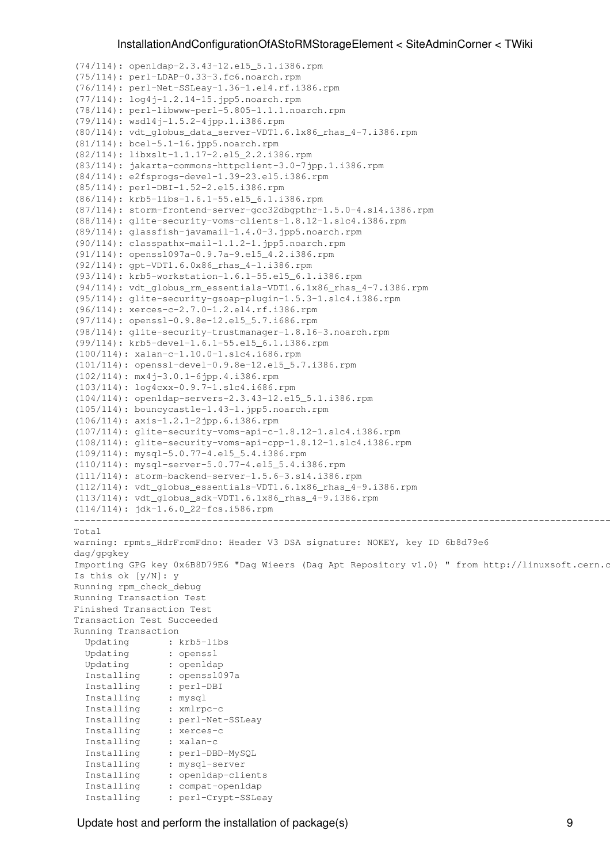$(74/114)$ : openldap-2.3.43-12.el5 5.1.i386.rpm  $(75/114)$ :  $perl-LDAP-0.33-3.fc6.noarch.$ rpm (76/114): perl-Net-SSLeay-1.36-1.el4.rf.i386.rpm (77/114): log4j-1.2.14-15.jpp5.noarch.rpm (78/114): perl-libwww-perl-5.805-1.1.1.noarch.rpm  $(79/114):$  wsdl4j-1.5.2-4jpp.1.i386.rpm (80/114): vdt globus data server-VDT1.6.1x86 rhas  $4-7.$ i386.rpm  $(81/114)$ : bcel-5.1-16.jpp5.noarch.rpm  $(82/114):$  libxslt-1.1.17-2.el5\_2.2.i386.rpm (83/114): jakarta-commons-httpclient-3.0-7jpp.1.i386.rpm  $(84/114):$  e2fsprogs-devel-1.39-23.el5.i386.rpm  $(85/114)$ : perl-DBI-1.52-2.el5.i386.rpm  $(86/114):$  krb5-libs-1.6.1-55.el5\_6.1.i386.rpm (87/114): storm-frontend-server-gcc32dbgpthr-1.5.0-4.sl4.i386.rpm (88/114): glite-security-voms-clients-1.8.12-1.slc4.i386.rpm  $(89/114)$ : glassfish-javamail-1.4.0-3.jpp5.noarch.rpm  $(90/114):$  classpathx-mail-1.1.2-1.jpp5.noarch.rpm (91/114): openssl097a-0.9.7a-9.el5\_4.2.i386.rpm  $(92/114):$  gpt-VDT1.6.0x86\_rhas\_4-1.i386.rpm (93/114): krb5-workstation-1.6.1-55.el5 6.1.i386.rpm (94/114): vdt\_qlobus\_rm\_essentials-VDT1.6.1x86\_rhas\_4-7.i386.rpm (95/114): glite-security-gsoap-plugin-1.5.3-1.slc4.i386.rpm  $(96/114):$  xerces-c-2.7.0-1.2.el4.rf.i386.rpm (97/114): openssl-0.9.8e-12.el5\_5.7.i686.rpm (98/114): glite-security-trustmanager-1.8.16-3.noarch.rpm (99/114): krb5-devel-1.6.1-55.el5\_6.1.i386.rpm  $(100/114):$  xalan-c-1.10.0-1.slc4.i686.rpm  $(101/114)$ : openssl-devel-0.9.8e-12.el5\_5.7.i386.rpm  $(102/114):$   $mx4j-3.0.1-6jpp.4.i386rpm$ (103/114): log4cxx-0.9.7-1.slc4.i686.rpm  $(104/114):$  openldap-servers-2.3.43-12.el5\_5.1.i386.rpm  $(105/114)$ : bouncycastle-1.43-1.jpp5.noarch.rpm  $(106/114): axis-1.2.1-2ipp.6.1386.rpm$  $(107/114)$ : glite-security-voms-api-c-1.8.12-1.slc4.i386.rpm  $(108/114):$  glite-security-voms-api-cpp-1.8.12-1.slc4.i386.rpm (109/114): mysql-5.0.77-4.el5\_5.4.i386.rpm (110/114): mysql-server-5.0.77-4.el5\_5.4.i386.rpm  $(111/114):$  storm-backend-server-1.5.6-3.sl4.i386.rpm (112/114): vdt\_globus\_essentials-VDT1.6.1x86\_rhas\_4-9.i386.rpm (113/114): vdt\_globus\_sdk-VDT1.6.1x86\_rhas\_4-9.i386.rpm  $(114/114):$  jdk-1.6.0\_22-fcs.i586.rpm ------------------------------------------------------------------------------------------------------------------------------------------------------------- Total 2.0 MB/s  $\sim$  2.0 MB/s  $\sim$  2.0 MB/s  $\sim$  2.0 MB/s  $\sim$  190 MB/s  $\sim$  190 MB/s  $\sim$  190 MB/s  $\sim$  190 MB/s  $\sim$  190 MB/s  $\sim$  190 MB/s  $\sim$  190 MB/s  $\sim$  190 MB/s  $\sim$  190 MB/s  $\sim$  190 MB/s  $\sim$  190 MB/s  $\sim$  190 MB warning: rpmts\_HdrFromFdno: Header V3 DSA signature: NOKEY, key ID 6b8d79e6 dag/gpgkey | 1.6 kB 00:00 Importing GPG key 0x6B8D79E6 "Dag Wieers (Dag Apt Repository v1.0) " from http://linuxsoft.cern.c Is this ok [y/N]: y Running rpm\_check\_debug Running Transaction Test Finished Transaction Test Transaction Test Succeeded Running Transaction Updating : krb5-libs Updating : openssl 2002 and 2003 and 2004 and 2008 and 2008 and 2011 and 2012 and 2012 and 2012 and 2012 and 20 Updating : openldap 3/118 Installing : openss1097a<br>Installing : perl-DBI Installing : perl-DBI 5/118 Installing : mysql 6/118 Installing : xmlrpc-c<br>Installing : perl-Net Installing : perl-Net-SSLeay<br>Installing : xerces-c<br> Installing : xerces-c 9/118 Installing : xalan-c 1000 minutes and 1000 minutes and 1000 minutes and 1000 minutes and 1000 minutes and 1000 minutes and 1000 minutes and 1000 minutes and 1000 minutes and 1000 minutes and 1000 minutes and 1000 minutes a Installing : perl-DBD-MySQL 11/118 Installing : nerl-DBD-MyS<br>
Installing : mysql-server Installing : openldap-clients Installing : compat-openldap Installing : perl-Crypt-SSLeay

Update host and perform the installation of package(s)  $\qquad \qquad \qquad 9$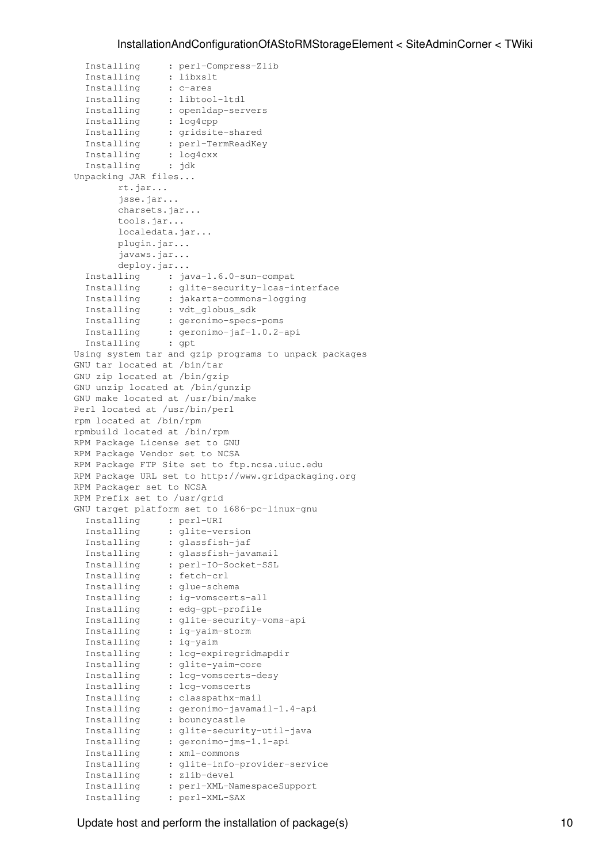```
Installing : perl-Compress-Zlib
 Installing : libxslt
 Installing : c-ares 18/118 
 Installing : libtool-ltdl
 Installing : openldap-servers<br>Installing : log4cpp
 Installing : log4cpp 21/118 
Installing : gridsite-shared 22/118 and 22/118 and 22/118 and 22/118 and 22/118 and 22/118 and 22/118 and 22/1
 Installing : perl-TermReadKey 23/118 
Installing : log4cxx
 Installing : jdk 25/118 
Unpacking JAR files...
    rt.jar...
     jsse.jar...
    charsets.jar...
     tools.jar...
    localedata.jar...
     plugin.jar...
     javaws.jar...
     deploy.jar...
 Installing : java-1.6.0-sun-compat
Installing : glite-security-lcas-interface
Installing : jakarta-commons-logging 28/11811819 28/11811819 28/11811819 28/11811
 Installing : vdt_globus_sdk 29/118 
Installing : geronimo-specs-poms
Installing : geronimo-jaf-1.0.2-api
 Installing : gpt 32/118 
Using system tar and gzip programs to unpack packages
GNU tar located at /bin/tar
GNU zip located at /bin/gzip
GNU unzip located at /bin/gunzip
GNU make located at /usr/bin/make
Perl located at /usr/bin/perl
rpm located at /bin/rpm
rpmbuild located at /bin/rpm
RPM Package License set to GNU
RPM Package Vendor set to NCSA
RPM Package FTP Site set to ftp.ncsa.uiuc.edu
RPM Package URL set to http://www.gridpackaging.org
RPM Packager set to NCSA
RPM Prefix set to /usr/grid
GNU target platform set to i686-pc-linux-gnu
Installing : perl-URI
 Installing : glite-version
 Installing : glassfish-jaf<br>Installing : glassfish-jav
       : glassfish-javamail
 Installing : perl-IO-Socket-SSL<br>Installing : fetch-crl
 Installing : fetch-crl 38/118 
 Installing : glue-schema 39/118 
Installing : ig-vomscerts-all 400 MHz and 400 MHz and 400 MHz and 400 MHz and 400 MHz and 400 MHz and 400 MHz a
 Installing : edg-gpt-profile 41/118 
Installing : glite-security-voms-api<br>
Installing : ig-yaim-storm
 Installing : ig-yaim-storm 43/118 
 Installing : ig-yaim
 Installing : lcg-expiregridmapdir
 Installing : glite-yaim-core
 Installing : lcg-vomscerts-desy
 Installing : lcg-vomscerts
 Installing : classpathx-mail
Installing : geronimo-javamail-1.4-api 500/1181000 serversion of the serversion of the serversion of the server
 Installing : bouncycastle 51/118 
 Installing : glite-security-util-java 52/118 
Installing : geronimo-jms-1.1-api
Installing : xml-commons
Installing : glite-security-util-java<br>
Installing : geronimo-jms-1.1-api<br>
Installing : xml-commons<br>
Installing : glite-info-provider-service
 Installing : zlib-devel 56/118 
 Installing : perl-XML-NamespaceSupport
Installing : perl-XML-SAX
```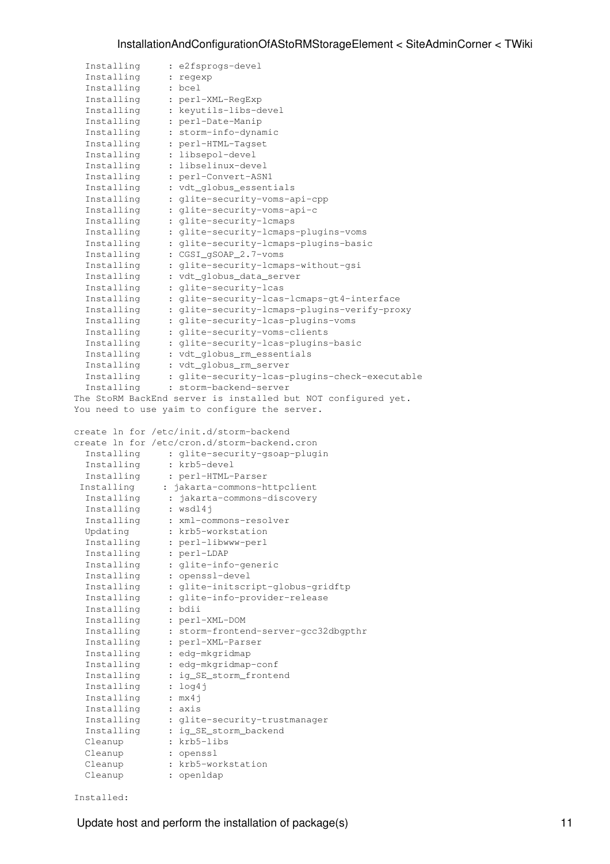| Installing | : e2fsprogs-devel                                             |  |
|------------|---------------------------------------------------------------|--|
| Installing | : regexp                                                      |  |
| Installing | : bcel                                                        |  |
|            |                                                               |  |
| Installing | : perl-XML-RegExp                                             |  |
| Installing | : keyutils-libs-devel                                         |  |
| Installing | : perl-Date-Manip                                             |  |
| Installing | : storm-info-dynamic                                          |  |
| Installing | : perl-HTML-Tagset                                            |  |
| Installing | : libsepol-devel                                              |  |
| Installing | : libselinux-devel                                            |  |
| Installing | : perl-Convert-ASN1                                           |  |
| Installing | : vdt_globus_essentials                                       |  |
| Installing | : glite-security-voms-api-cpp                                 |  |
| Installing | : glite-security-voms-api-c                                   |  |
| Installing | : glite-security-lcmaps                                       |  |
|            | : glite-security-lcmaps-plugins-voms                          |  |
| Installing |                                                               |  |
| Installing | : glite-security-lcmaps-plugins-basic                         |  |
| Installing | : CGSI_gSOAP_2.7-voms                                         |  |
| Installing | : glite-security-lcmaps-without-gsi                           |  |
| Installing | : vdt_globus_data_server                                      |  |
| Installing | : glite-security-lcas                                         |  |
| Installing | : glite-security-lcas-lcmaps-gt4-interface                    |  |
| Installing | : glite-security-lcmaps-plugins-verify-proxy                  |  |
| Installing | : glite-security-lcas-plugins-voms                            |  |
| Installing | : glite-security-voms-clients                                 |  |
| Installing | : glite-security-lcas-plugins-basic                           |  |
|            | : vdt_globus_rm_essentials                                    |  |
| Installing |                                                               |  |
| Installing | : vdt_globus_rm_server                                        |  |
| Installing | : glite-security-lcas-plugins-check-executable                |  |
| Installing | : storm-backend-server                                        |  |
|            | The StoRM BackEnd server is installed but NOT configured yet. |  |
|            | You need to use yaim to configure the server.                 |  |
|            |                                                               |  |
|            |                                                               |  |
|            | create ln for /etc/init.d/storm-backend                       |  |
|            | create ln for /etc/cron.d/storm-backend.cron                  |  |
|            |                                                               |  |
| Installing | : glite-security-gsoap-plugin                                 |  |
| Installing | : krb5-devel                                                  |  |
| Installing | : perl-HTML-Parser                                            |  |
| Installing | : jakarta-commons-httpclient                                  |  |
| Installing | : jakarta-commons-discovery                                   |  |
| Installing | : wsdl4j                                                      |  |
| Installing | : xml-commons-resolver                                        |  |
| Updating   | : krb5-workstation                                            |  |
| Installing | : perl-libwww-perl                                            |  |
| Installing | : perl-LDAP                                                   |  |
| Installing | : glite-info-generic                                          |  |
| Installing | : openssl-devel                                               |  |
|            |                                                               |  |
| Installing | : glite-initscript-globus-gridftp                             |  |
| Installing | : glite-info-provider-release                                 |  |
| Installing | : bdii                                                        |  |
| Installing | : perl-XML-DOM                                                |  |
| Installing | : storm-frontend-server-gcc32dbgpthr                          |  |
| Installing | : perl-XML-Parser                                             |  |
| Installing | : edg-mkgridmap                                               |  |
| Installing | : edg-mkgridmap-conf                                          |  |
| Installing | : iq_SE_storm_frontend                                        |  |
| Installing | $:$ log4j                                                     |  |
|            |                                                               |  |
| Installing | : $mx4j$                                                      |  |
| Installing | : axis                                                        |  |
| Installing | : glite-security-trustmanager                                 |  |
| Installing | : ig_SE_storm_backend                                         |  |
| Cleanup    | : krb5-libs                                                   |  |
| Cleanup    | : openssl                                                     |  |
| Cleanup    | : krb5-workstation                                            |  |
| Cleanup    | : openldap                                                    |  |

```
Installed:
```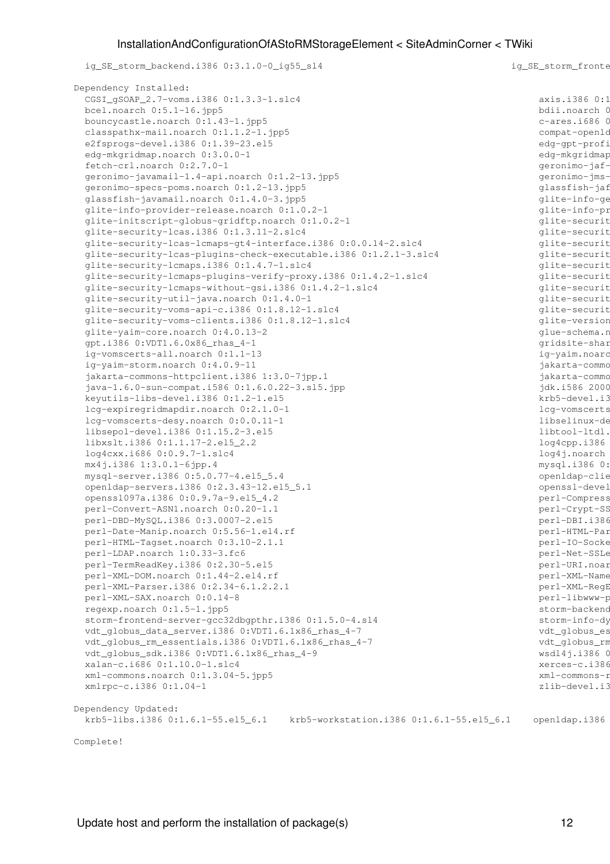```
ig_SE_storm_backend.i386 0:3.1.0-0_ig55_sl4 ig_SE_storm_frontender@igmainstand.i386 0:3.1.0-0_ig55_sl4
Dependency Installed:
 CGSI_gSOAP_2.7-voms.i386 0:1.3.3-1.slc4 axis.i386 0:1.3.2-1.slc4
 bcel.noarch 0:5.1-16.jpp5 bdii.noarch 0:5.1-16.jpp5 bdii.noarch 0:5.1-16.jpp5 bdii.noarch 0:5.1-16.jpp5 bdii.noarch 0:4.1.1-14.jpp5 bdii.noarch 0:5.1-16.jpp5 bdii.noarch 0:5.1-16.jpp5 bdii.noarch 0:5.1-14.jpp5 bdii.noarch 
 bouncycastle.noarch 0:1.43-1.jpp5 c-ares.i686 0:1.43-1.jpp5 c-ares.i686 0:1.43-1.jpp
 classpathx-mail.noarch 0:1.1.2-1.jpp5 compat-openld
  e2fsprogs-devel.i386 0:1.39-23.el5 edg-gpt-profile.noarch 0:1.0.0-1 
 edg-mkgridmap.noarch 0:3.0.0-1 edg-mkgridmap edg-mkgridmap
 fetch-crl.noarch 0:2.7.0-1 geronimo-jaf-
  geronimo-javamail-1.4-api.noarch 0:1.2-13.jpp5 geronimo-jms-1.1-api.noarch 0:1.2-13.jpp5 
 geronimo-specs-poms.noarch 0:1.2-13.jpp5 glassfish-jaf.noarch 0:1.2-13.jpp5
 glassfish-javamail.noarch 0:1.4.0-3.jpp5 glite-info-general control dite-info-ge
 qlite-info-provider-release.noarch 0:1.0.2-1 qlite-info-provider-release.noarch 0:1.0.2-1
 glite-initscript-globus-gridftp.noarch 0:1.0.2-1 glite-security-glite-security-gsoap-plugin.i386 0:1.0.2-1
 qlite-security-lcas.i386 0:1.3.11-2.slc4 glite-security-lcas-interface.interface.interface.interface.interface.interface.interface.interface.interface.interface.interface.interface.interface.interface.interface.interface.i
 glite-security-lcas-lcmaps-gt4-interface.i386 0:0.0.14-2.slc4 glite-securit
 glite-security-lcas-plugins-check-executable.i386 0:1.2.1-3.slc4 glite-securit<br>glite-security-lcmaps.i386 0:1.4.7-1.slc4 dlite-securit
 glite-security-lcmaps.i386 0:1.4.7-1.slc4
 glite-security-lcmaps-plugins-verify-proxy.i386 0:1.4.2-1.slc4 glite-security-lcmaps-plugins-verify-proxy.i386 0:1.4.2-1.slc4
 qlite-security-lcmaps-without-qsi.i386 0:1.4.2-1.slc4 qlite-securit
 qlite-security-util-java.noarch 0:1.4.0-1 glite-security-voms-approx-apid-securit
 qlite-security-voms-api-c.i386 0:1.8.12-1.slc4 glite-security-voms-api-c.i386 0:1.8.12-1.slc4
 glite-security-voms-clients.i386 0:1.8.12-1.slc4 glite-version.nomarch 0:3.1.2-1.slc4
 qlite-yaim-core.noarch 0:4.0.13-2 glue-schema.noarch 0:4.0.13-2
 qpt.i386 0:VDT1.6.0x86_rhas_4-1 details and contact the shared.i386 0:VDT1.6.0x86_rhas_4-1
 ig-vomscerts-all.noarch 0:1.1-13 ig-yaim.noarch 0:1.1-13
 ig-yaim-storm.noarch 0:4.0.9-11 ig-yaim-storm.noarch 0:4.0.9-11
 jakarta-commons-httpclient.i386 1:3.0-7jpp.1 jakarta-commons-httpclient.i386 1:3.0-7jpp.1
 java-1.6.0-sun-compat.i586 0:1.6.0.22-3.sl5.jpp jdk.i586 2000
 keyutils-libs-devel.i386 0:1.2-1.el5 krb5-devel.i3
 lcg-expiregridmapdir.noarch 0:2.1.0-1 lcg-vomscerts
 lcg-vomscerts-desy.noarch 0:0.0.11-1 libselinux-de
 libsepol-devel.i386 0:1.15.2-3.el5 libtool-ltdl.
 libxslt.i386 0:1.1.17-2.el5_2.2 log4cpp.i386
  log4cxx.i686 0:0.9.7-1.slc4 log4j.noarch 0:1.2.14-15.jpp5 
 mx4j.i386 1:3.0.1-6jpp.4 mysql.i386 0:
 mysql-server.i386 0:5.0.77-4.el5_5.4 compared and intervention openldap-clients.i386 0:5.0.77-4.el5_5.4
 openldap-servers.i386 0:2.3.43-12.el5_5.1 openssl-devel.i386 0:2.3.43-12.el5_5.1
 openssl097a.i386 0:0.9.7a-9.el5_4.2 perl-Compress-Zlib.ia and the compress-
 perl-Convert-ASN1.noarch 0:0.20-1.1 perl-Crypt-SS
 perl-DBD-MySQL.i386 0:3.0007-2.el5 perl-DBT.i386
 perl-Date-Manip.noarch 0:5.56-1.el4.rf perl-HTML-Parser.i386 0:3.56-1.el4.rf
 perl-HTML-Tagset.noarch 0:3.10-2.1.1 perl-JO-Socket-Sect.noarch 0:3.10-2.1.1
 perl-LDAP.noarch 1:0.33-3.fc6 perl-Net-SSLe
 perl-TermReadKey.i386 0:2.30-5.el5 perl-URI.noarch 0:2.30-5.el5
 perl-XML-DOM.noarch 0:1.44-2.el4.rf perl-XML-Names
 perl-XML-Parser.i386 0:2.34-6.1.2.2.1 perl-XML-RegExp.nom
 perl-XML-SAX.noarch 0:0.14-8 perlemance of the state of the state of the perlemance of the perlemance of the state of the state of the state of the state of the state of the state of the state of the state of the state of 
 regexp.noarch 0:1.5-1.jpp5 storm-backend-server.i386 0:1.5-1.jpp5 storm-backend-server.i386 0:1.5-1.jpp5 storm-backend-
 storm-frontend-server-gcc32dbgpthr.i386 0:1.5.0-4.sl4 storm-info-dynamic.info-dy
 vdt_globus_data_server.i386 0:VDT1.6.1x86_rhas_4-7 vdt_globus_essentials.index.i386 0:VDT1.6.1x86_rhas_4-7
 vdt_globus_rm_essentials.i386 0:VDT1.6.1x86_rhas_4-7 vdt_globus_rm
 vdt_globus_sdk.i386 0:VDT1.6.1x86_rhas_4-9 wsdl4j.i386 0:
 xalan-c.i686 0:1.10.0-1.slc4 xerces-c.i386
 xml-commons.noarch 0:1.3.04-5.jpp5 xml-commons-resolver.ia/integrated.com/
 xmlrpc-c.i386 0:1.04-1 zlib-devel.i3
Dependency Updated:
 krb5-libs.i386 0:1.6.1-55.el5_6.1 krb5-workstation.i386 0:1.6.1-55.el5_6.1 openldap.i386
Complete!
```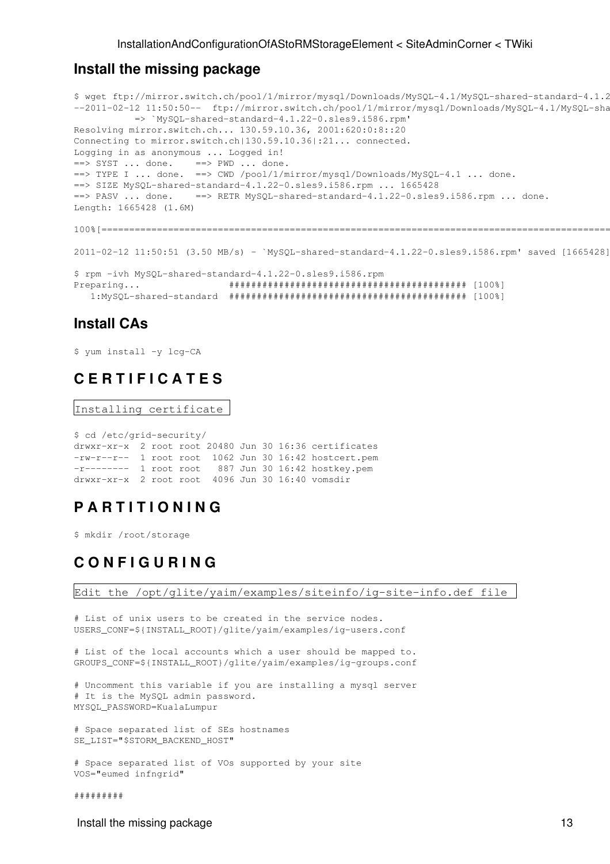### **Install the missing package**

```
$ wget ftp://mirror.switch.ch/pool/1/mirror/mysql/Downloads/MySQL-4.1/MySQL-shared-standard-4.1.2
--2011-02-12 11:50:50-- ftp://mirror.switch.ch/pool/1/mirror/mysql/Downloads/MySQL-4.1/MySQL-sha
            => `MySQL-shared-standard-4.1.22-0.sles9.i586.rpm'
Resolving mirror.switch.ch... 130.59.10.36, 2001:620:0:8::20
Connecting to mirror.switch.ch|130.59.10.36|:21... connected.
Logging in as anonymous ... Logged in!
==> SYST ... done. ==> PWD ... done.
==> TYPE I ... done. ==> CWD /pool/1/mirror/mysql/Downloads/MySQL-4.1 ... done.
==> SIZE MySQL-shared-standard-4.1.22-0.sles9.i586.rpm ... 1665428
==> PASV ... done. ==> RETR MySQL-shared-standard-4.1.22-0.sles9.i586.rpm ... done.
Length: 1665428 (1.6M)
100%[===================================================================================================================>] 1,665,428 3.50M/s in 0.5s
```
2011-02-12 11:50:51 (3.50 MB/s) - `MySQL-shared-standard-4.1.22-0.sles9.i586.rpm' saved [1665428]

```
$ rpm -ivh MySQL-shared-standard-4.1.22-0.sles9.i586.rpm
Preparing... ########################################### [100%]
   1:MySQL-shared-standard ########################################### [100%]
```
### **Install CAs**

\$ yum install -y lcg-CA

# **C E R T I F I C A T E S**

Installing certificate

```
$ cd /etc/grid-security/
drwxr-xr-x 2 root root 20480 Jun 30 16:36 certificates
-rw-r--r-- 1 root root 1062 Jun 30 16:42 hostcert.pem
-r------- 1 root root 887 Jun 30 16:42 hostkey.pem
drwxr-xr-x 2 root root 4096 Jun 30 16:40 vomsdir
```
# **P A R T I T I O N I N G**

\$ mkdir /root/storage

# **C O N F I G U R I N G**

Edit the /opt/glite/yaim/examples/siteinfo/ig-site-info.def file

# List of unix users to be created in the service nodes. USERS\_CONF=\${INSTALL\_ROOT}/glite/yaim/examples/ig-users.conf

# List of the local accounts which a user should be mapped to. GROUPS\_CONF=\${INSTALL\_ROOT}/glite/yaim/examples/ig-groups.conf

# Uncomment this variable if you are installing a mysql server # It is the MySQL admin password. MYSQL\_PASSWORD=KualaLumpur

# Space separated list of SEs hostnames SE\_LIST="\$STORM\_BACKEND\_HOST"

# Space separated list of VOs supported by your site VOS="eumed infngrid"

#########

Install the missing package 13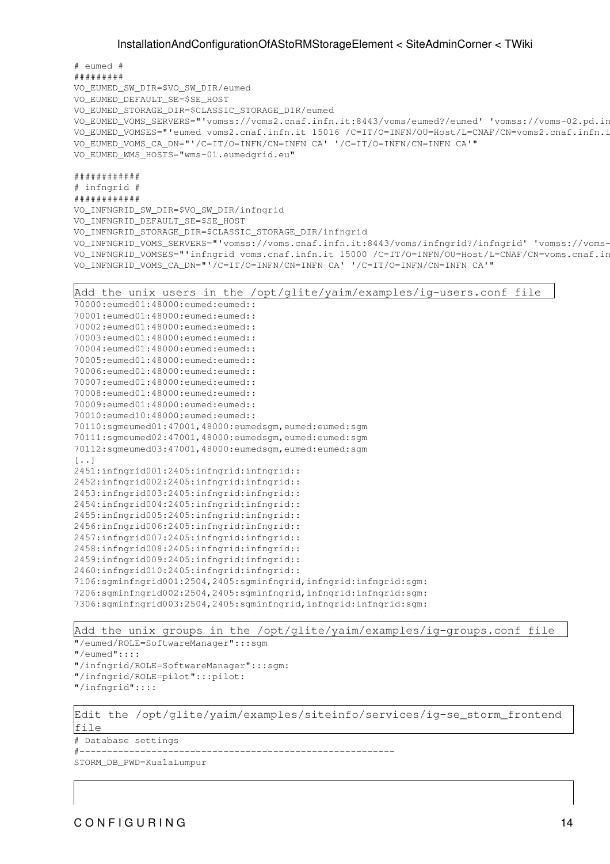# eumed # ######### VO\_EUMED\_SW\_DIR=\$VO\_SW\_DIR/eumed VO\_EUMED\_DEFAULT\_SE=\$SE\_HOST VO\_EUMED\_STORAGE\_DIR=\$CLASSIC\_STORAGE\_DIR/eumed VO\_EUMED\_VOMS\_SERVERS="'vomss://voms2.cnaf.infn.it:8443/voms/eumed?/eumed' 'vomss://voms-02.pd.infn.it:8443/voms/eumed?/eumed'" VO\_EUMED\_VOMSES="'eumed\_voms2.cnaf.infn.it 15016 /C=IT/O=INFN/OU=Host/L=CNAF/CN=voms2.cnaf.infn.i VO\_EUMED\_VOMS\_CA\_DN="'/C=IT/O=INFN/CN=INFN CA' '/C=IT/O=INFN/CN=INFN CA'" VO\_EUMED\_WMS\_HOSTS="wms-01.eumedgrid.eu"

############ # infngrid # ############ VO\_INFNGRID\_SW\_DIR=\$VO\_SW\_DIR/infngrid VO\_INFNGRID\_DEFAULT\_SE=\$SE\_HOST VO\_INFNGRID\_STORAGE\_DIR=\$CLASSIC\_STORAGE\_DIR/infngrid VO\_INFNGRID\_VOMS\_SERVERS="'vomss://voms.cnaf.infn.it:8443/voms/infngrid?/infngrid' 'vomss://voms-01.pd.infn.it:8443/voms/infngrid?/infngrid'" VO\_INFNGRID\_VOMSES="'infngrid voms.cnaf.infn.it 15000 /C=IT/O=INFN/OU=Host/L=CNAF/CN=voms.cnaf.in VO\_INFNGRID\_VOMS\_CA\_DN="'/C=IT/O=INFN/CN=INFN CA' '/C=IT/O=INFN/CN=INFN CA'"

Add the unix users in the /opt/glite/yaim/examples/ig-users.conf file 70000:eumed01:48000:eumed:eumed:: 70001:eumed01:48000:eumed:eumed:: 70002:eumed01:48000:eumed:eumed:: 70003:eumed01:48000:eumed:eumed:: 70004:eumed01:48000:eumed:eumed:: 70005:eumed01:48000:eumed:eumed:: 70006:eumed01:48000:eumed:eumed:: 70007:eumed01:48000:eumed:eumed:: 70008:eumed01:48000:eumed:eumed:: 70009:eumed01:48000:eumed:eumed:: 70010:eumed10:48000:eumed:eumed:: 70110:sgmeumed01:47001,48000:eumedsgm,eumed:eumed:sgm 70111:sgmeumed02:47001,48000:eumedsgm,eumed:eumed:sgm 70112:sgmeumed03:47001,48000:eumedsgm,eumed:eumed:sgm  $\lceil$ ..] 2451:infngrid001:2405:infngrid:infngrid:: 2452:infngrid002:2405:infngrid:infngrid:: 2453:infngrid003:2405:infngrid:infngrid:: 2454:infngrid004:2405:infngrid:infngrid:: 2455:infngrid005:2405:infngrid:infngrid:: 2456:infngrid006:2405:infngrid:infngrid:: 2457:infngrid007:2405:infngrid:infngrid:: 2458:infngrid008:2405:infngrid:infngrid:: 2459:infngrid009:2405:infngrid:infngrid:: 2460:infngrid010:2405:infngrid:infngrid:: 7106:sgminfngrid001:2504,2405:sgminfngrid,infngrid:infngrid:sgm: 7206:sgminfngrid002:2504,2405:sgminfngrid,infngrid:infngrid:sgm: 7306:sgminfngrid003:2504,2405:sgminfngrid,infngrid:infngrid:sgm:

Add the unix groups in the /opt/glite/yaim/examples/ig-groups.conf file

"/eumed/ROLE=SoftwareManager":::sgm

"/eumed"::::

"/infngrid/ROLE=SoftwareManager":::sgm:

"/infngrid/ROLE=pilot":::pilot:

"/infngrid"::::

Edit the /opt/glite/yaim/examples/siteinfo/services/ig-se\_storm\_frontend file

# Database settings

#---------------------------------------------------------

STORM\_DB\_PWD=KualaLumpur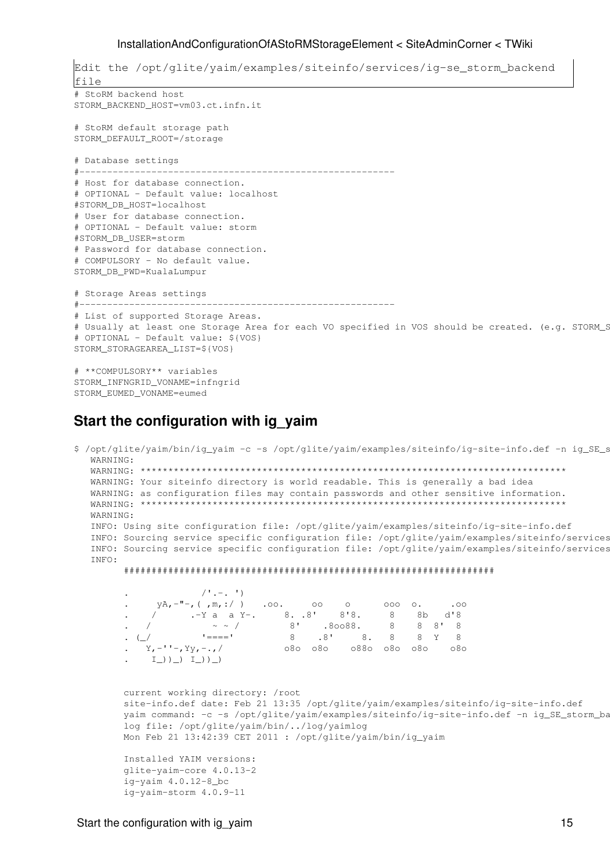```
Edit the /opt/glite/yaim/examples/siteinfo/services/ig-se_storm_backend
file
# StoRM backend host
STORM_BACKEND_HOST=vm03.ct.infn.it
# StoRM default storage path
STORM_DEFAULT_ROOT=/storage
# Database settings
#---------------------------------------------------------
# Host for database connection.
# OPTIONAL - Default value: localhost
#STORM_DB_HOST=localhost
# User for database connection.
# OPTIONAL - Default value: storm
#STORM_DB_USER=storm
# Password for database connection.
# COMPULSORY - No default value.
STORM_DB_PWD=KualaLumpur
# Storage Areas settings
#---------------------------------------------------------
# List of supported Storage Areas.
# Usually at least one Storage Area for each VO specified in VOS should be created. (e.g. STORM_S
# OPTIONAL - Default value: ${VOS}
STORM_STORAGEAREA_LIST=${VOS}
# **COMPULSORY** variables
STORM_INFNGRID_VONAME=infngrid
STORM_EUMED_VONAME=eumed
```
### **Start the configuration with ig\_yaim**

```
$ /opt/glite/yaim/bin/ig_yaim -c -s /opt/glite/yaim/examples/siteinfo/ig-site-info.def -n ig_SE_s
   WARNING: 
   WARNING: *****************************************************************************
   WARNING: Your siteinfo directory is world readable. This is generally a bad idea 
   WARNING: as configuration files may contain passwords and other sensitive information.
   WARNING: *****************************************************************************
   WARNING: 
   INFO: Using site configuration file: /opt/glite/yaim/examples/siteinfo/ig-site-info.def
  INFO: Sourcing service specific configuration file: /opt/glite/yaim/examples/siteinfo/services
  INFO: Sourcing service specific configuration file: /opt/glite/yaim/examples/siteinfo/services
   INFO: 
         ###################################################################
             yA_r = "-, ( , m, :/ ) .00. 00
. yA, -"-, (-, m, :') . oo. oo o oo o. .oo
 . / .-Y a a Y-. 8. .8' 8'8. 8 8b d'8
 . / ~ ~ / 8' .8oo88. 8 8 8' 8
 . (_/ '====' 8 .8' 8. 8 8 Y 8
         . Y,-''-,Yy,-.,/ o8o o8o o88o o8o o8o o8o
            I ) ) ) I ) ) ) current working directory: /root
         site-info.def date: Feb 21 13:35 /opt/glite/yaim/examples/siteinfo/ig-site-info.def
        yaim command: -c -s /opt/glite/yaim/examples/siteinfo/ig-site-info.def -n ig_SE_storm_ba
         log file: /opt/glite/yaim/bin/../log/yaimlog
         Mon Feb 21 13:42:39 CET 2011 : /opt/glite/yaim/bin/ig_yaim
         Installed YAIM versions:
         glite-yaim-core 4.0.13-2
        ig-yaim 4.0.12-8 bc
         ig-yaim-storm 4.0.9-11
```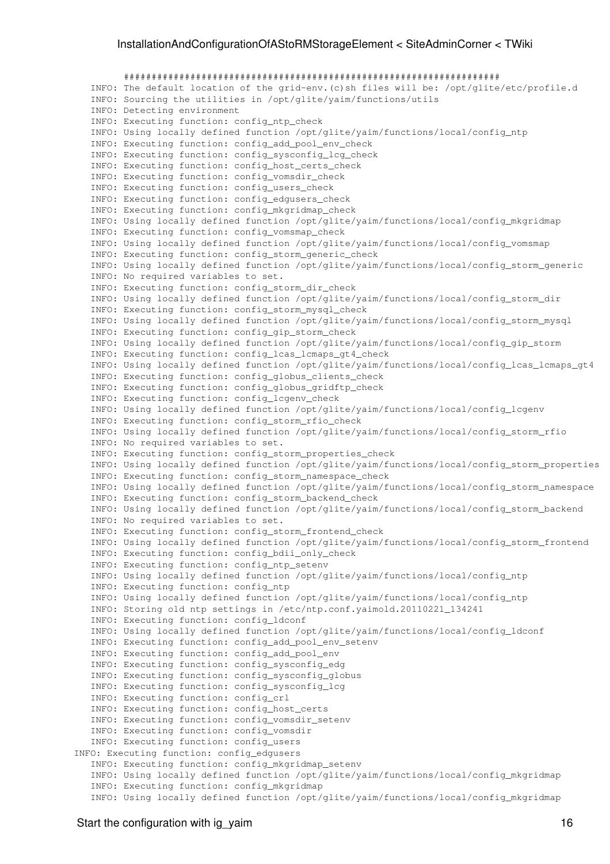```
 ####################################################################
    INFO: The default location of the grid-env.(c)sh files will be: /opt/glite/etc/profile.d
    INFO: Sourcing the utilities in /opt/glite/yaim/functions/utils
    INFO: Detecting environment
   INFO: Executing function: config ntp check
    INFO: Using locally defined function /opt/glite/yaim/functions/local/config_ntp
    INFO: Executing function: config_add_pool_env_check 
    INFO: Executing function: config_sysconfig_lcg_check 
    INFO: Executing function: config_host_certs_check 
    INFO: Executing function: config_vomsdir_check 
   INFO: Executing function: config users check
    INFO: Executing function: config_edgusers_check 
    INFO: Executing function: config_mkgridmap_check 
    INFO: Using locally defined function /opt/glite/yaim/functions/local/config_mkgridmap
    INFO: Executing function: config_vomsmap_check 
    INFO: Using locally defined function /opt/glite/yaim/functions/local/config_vomsmap
    INFO: Executing function: config_storm_generic_check 
    INFO: Using locally defined function /opt/glite/yaim/functions/local/config_storm_generic
    INFO: No required variables to set.
    INFO: Executing function: config_storm_dir_check 
    INFO: Using locally defined function /opt/glite/yaim/functions/local/config_storm_dir
    INFO: Executing function: config_storm_mysql_check 
    INFO: Using locally defined function /opt/glite/yaim/functions/local/config_storm_mysql
    INFO: Executing function: config_gip_storm_check 
    INFO: Using locally defined function /opt/glite/yaim/functions/local/config_gip_storm
    INFO: Executing function: config_lcas_lcmaps_gt4_check 
    INFO: Using locally defined function /opt/glite/yaim/functions/local/config_lcas_lcmaps_gt4
    INFO: Executing function: config_globus_clients_check 
    INFO: Executing function: config_globus_gridftp_check 
    INFO: Executing function: config_lcgenv_check 
    INFO: Using locally defined function /opt/glite/yaim/functions/local/config_lcgenv
    INFO: Executing function: config_storm_rfio_check 
    INFO: Using locally defined function /opt/glite/yaim/functions/local/config_storm_rfio
    INFO: No required variables to set.
    INFO: Executing function: config_storm_properties_check 
    INFO: Using locally defined function /opt/glite/yaim/functions/local/config_storm_properties
    INFO: Executing function: config_storm_namespace_check 
    INFO: Using locally defined function /opt/glite/yaim/functions/local/config_storm_namespace
    INFO: Executing function: config_storm_backend_check 
    INFO: Using locally defined function /opt/glite/yaim/functions/local/config_storm_backend
    INFO: No required variables to set.
    INFO: Executing function: config_storm_frontend_check 
    INFO: Using locally defined function /opt/glite/yaim/functions/local/config_storm_frontend
    INFO: Executing function: config_bdii_only_check 
    INFO: Executing function: config_ntp_setenv 
    INFO: Using locally defined function /opt/glite/yaim/functions/local/config_ntp
    INFO: Executing function: config_ntp 
    INFO: Using locally defined function /opt/glite/yaim/functions/local/config_ntp
    INFO: Storing old ntp settings in /etc/ntp.conf.yaimold.20110221_134241
    INFO: Executing function: config_ldconf 
    INFO: Using locally defined function /opt/glite/yaim/functions/local/config_ldconf
    INFO: Executing function: config_add_pool_env_setenv 
    INFO: Executing function: config_add_pool_env 
    INFO: Executing function: config_sysconfig_edg 
    INFO: Executing function: config_sysconfig_globus 
    INFO: Executing function: config_sysconfig_lcg 
    INFO: Executing function: config_crl 
    INFO: Executing function: config_host_certs 
    INFO: Executing function: config_vomsdir_setenv 
    INFO: Executing function: config_vomsdir 
    INFO: Executing function: config_users 
INFO: Executing function: config_edgusers 
    INFO: Executing function: config_mkgridmap_setenv 
    INFO: Using locally defined function /opt/glite/yaim/functions/local/config_mkgridmap
    INFO: Executing function: config_mkgridmap 
    INFO: Using locally defined function /opt/glite/yaim/functions/local/config_mkgridmap
```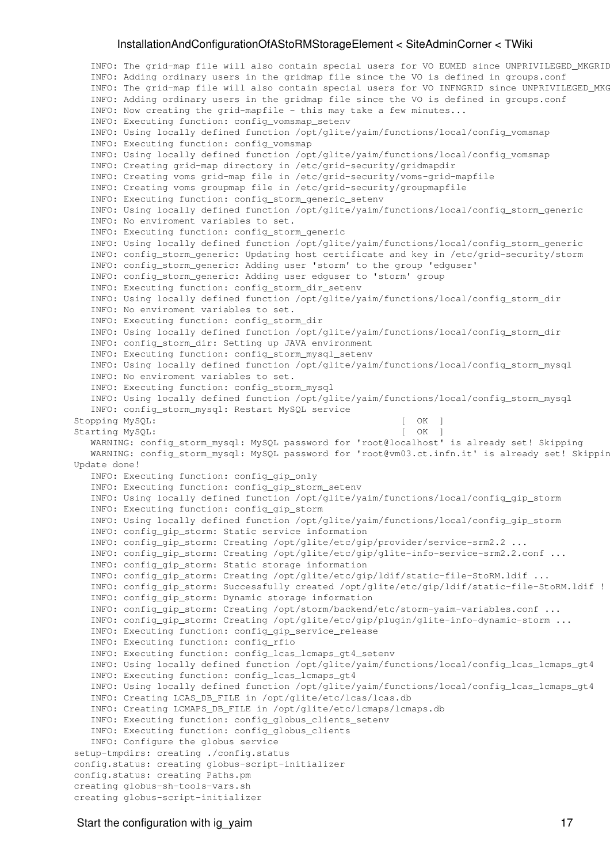INFO: The grid-map file will also contain special users for VO EUMED since UNPRIVILEGED MKGRID INFO: Adding ordinary users in the gridmap file since the VO is defined in groups.conf INFO: The grid-map file will also contain special users for VO INFNGRID since UNPRIVILEGED\_MKG INFO: Adding ordinary users in the gridmap file since the VO is defined in groups.conf INFO: Now creating the grid-mapfile - this may take a few minutes... INFO: Executing function: config\_vomsmap\_setenv INFO: Using locally defined function /opt/glite/yaim/functions/local/config\_vomsmap INFO: Executing function: config\_vomsmap INFO: Using locally defined function /opt/glite/yaim/functions/local/config\_vomsmap INFO: Creating grid-map directory in /etc/grid-security/gridmapdir INFO: Creating voms grid-map file in /etc/grid-security/voms-grid-mapfile INFO: Creating voms groupmap file in /etc/grid-security/groupmapfile INFO: Executing function: config\_storm\_generic\_setenv INFO: Using locally defined function /opt/glite/yaim/functions/local/config\_storm\_generic INFO: No enviroment variables to set. INFO: Executing function: config\_storm\_generic INFO: Using locally defined function /opt/glite/yaim/functions/local/config\_storm\_generic INFO: config\_storm\_generic: Updating host certificate and key in /etc/grid-security/storm INFO: config\_storm\_generic: Adding user 'storm' to the group 'edguser' INFO: config\_storm\_generic: Adding user edguser to 'storm' group INFO: Executing function: config\_storm\_dir\_setenv INFO: Using locally defined function /opt/glite/yaim/functions/local/config\_storm\_dir INFO: No enviroment variables to set. INFO: Executing function: config\_storm\_dir INFO: Using locally defined function /opt/glite/yaim/functions/local/config\_storm\_dir INFO: config\_storm\_dir: Setting up JAVA environment INFO: Executing function: config\_storm\_mysql\_setenv INFO: Using locally defined function /opt/glite/yaim/functions/local/config\_storm\_mysql INFO: No enviroment variables to set. INFO: Executing function: config\_storm\_mysql INFO: Using locally defined function /opt/glite/yaim/functions/local/config\_storm\_mysql INFO: config\_storm\_mysql: Restart MySQL service Stopping MySQL: [ OK ] Starting MySQL: [ OK ] WARNING: config\_storm\_mysql: MySQL password for 'root@localhost' is already set! Skipping WARNING: config\_storm\_mysql: MySQL password for 'root@vm03.ct.infn.it' is already set! Skippin Update done! INFO: Executing function: config\_gip\_only INFO: Executing function: config\_gip\_storm\_setenv INFO: Using locally defined function /opt/glite/yaim/functions/local/config\_gip\_storm INFO: Executing function: config\_gip\_storm INFO: Using locally defined function /opt/glite/yaim/functions/local/config\_gip\_storm INFO: config\_gip\_storm: Static service information INFO: config\_gip\_storm: Creating /opt/glite/etc/gip/provider/service-srm2.2 ... INFO: config\_gip\_storm: Creating /opt/glite/etc/gip/glite-info-service-srm2.2.conf ... INFO: config\_gip\_storm: Static storage information INFO: config\_gip\_storm: Creating /opt/glite/etc/gip/ldif/static-file-StoRM.ldif ... INFO: config\_gip\_storm: Successfully created /opt/glite/etc/gip/ldif/static-file-StoRM.ldif ! INFO: config\_gip\_storm: Dynamic storage information INFO: config\_gip\_storm: Creating /opt/storm/backend/etc/storm-yaim-variables.conf ... INFO: config\_gip\_storm: Creating /opt/glite/etc/gip/plugin/glite-info-dynamic-storm ... INFO: Executing function: config\_gip\_service\_release INFO: Executing function: config\_rfio INFO: Executing function: config\_lcas\_lcmaps\_gt4\_setenv INFO: Using locally defined function /opt/glite/yaim/functions/local/config\_lcas\_lcmaps\_gt4 INFO: Executing function: config\_lcas\_lcmaps\_gt4 INFO: Using locally defined function /opt/glite/yaim/functions/local/config\_lcas\_lcmaps\_gt4 INFO: Creating LCAS\_DB\_FILE in /opt/glite/etc/lcas/lcas.db INFO: Creating LCMAPS\_DB\_FILE in /opt/glite/etc/lcmaps/lcmaps.db INFO: Executing function: config\_globus\_clients\_setenv INFO: Executing function: config\_globus\_clients INFO: Configure the globus service setup-tmpdirs: creating ./config.status config.status: creating globus-script-initializer config.status: creating Paths.pm creating globus-sh-tools-vars.sh creating globus-script-initializer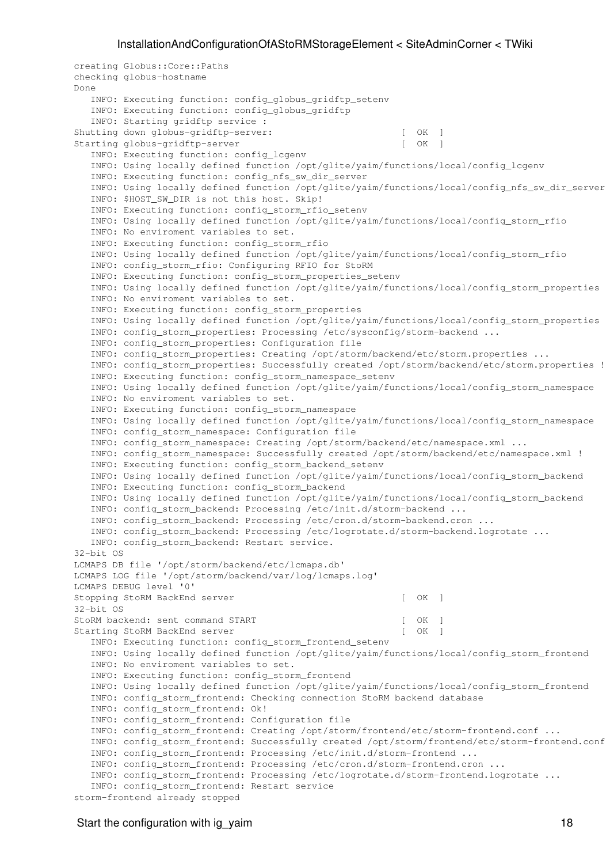```
creating Globus::Core::Paths
checking globus-hostname
Done
    INFO: Executing function: config_globus_gridftp_setenv 
    INFO: Executing function: config_globus_gridftp 
    INFO: Starting gridftp service :
Shutting down globus-gridftp-server: [OK]Starting globus-gridftp-server [ OK ]
    INFO: Executing function: config_lcgenv 
    INFO: Using locally defined function /opt/glite/yaim/functions/local/config_lcgenv
    INFO: Executing function: config_nfs_sw_dir_server 
    INFO: Using locally defined function /opt/glite/yaim/functions/local/config_nfs_sw_dir_server
    INFO: $HOST_SW_DIR is not this host. Skip!
    INFO: Executing function: config_storm_rfio_setenv 
    INFO: Using locally defined function /opt/glite/yaim/functions/local/config_storm_rfio
    INFO: No enviroment variables to set.
    INFO: Executing function: config_storm_rfio 
    INFO: Using locally defined function /opt/glite/yaim/functions/local/config_storm_rfio
    INFO: config_storm_rfio: Configuring RFIO for StoRM
   INFO: Executing function: config storm properties setenv
    INFO: Using locally defined function /opt/glite/yaim/functions/local/config_storm_properties
    INFO: No enviroment variables to set.
    INFO: Executing function: config_storm_properties 
    INFO: Using locally defined function /opt/glite/yaim/functions/local/config_storm_properties
    INFO: config_storm_properties: Processing /etc/sysconfig/storm-backend ...
    INFO: config_storm_properties: Configuration file
    INFO: config_storm_properties: Creating /opt/storm/backend/etc/storm.properties ...
    INFO: config_storm_properties: Successfully created /opt/storm/backend/etc/storm.properties !
    INFO: Executing function: config_storm_namespace_setenv 
    INFO: Using locally defined function /opt/glite/yaim/functions/local/config_storm_namespace
    INFO: No enviroment variables to set.
    INFO: Executing function: config_storm_namespace 
    INFO: Using locally defined function /opt/glite/yaim/functions/local/config_storm_namespace
    INFO: config_storm_namespace: Configuration file
    INFO: config_storm_namespace: Creating /opt/storm/backend/etc/namespace.xml ...
    INFO: config_storm_namespace: Successfully created /opt/storm/backend/etc/namespace.xml !
    INFO: Executing function: config_storm_backend_setenv 
    INFO: Using locally defined function /opt/glite/yaim/functions/local/config_storm_backend
    INFO: Executing function: config_storm_backend 
    INFO: Using locally defined function /opt/glite/yaim/functions/local/config_storm_backend
    INFO: config_storm_backend: Processing /etc/init.d/storm-backend ...
    INFO: config_storm_backend: Processing /etc/cron.d/storm-backend.cron ...
    INFO: config_storm_backend: Processing /etc/logrotate.d/storm-backend.logrotate ...
    INFO: config_storm_backend: Restart service.
32-bit OS
LCMAPS DB file '/opt/storm/backend/etc/lcmaps.db'
LCMAPS LOG file '/opt/storm/backend/var/log/lcmaps.log'
LCMAPS DEBUG level '0'
Stopping StoRM BackEnd server [ OK ]
32-bit OS
StoRM backend: sent command START [ OK ]
Starting StoRM BackEnd server [ OK ]
    INFO: Executing function: config_storm_frontend_setenv 
    INFO: Using locally defined function /opt/glite/yaim/functions/local/config_storm_frontend
    INFO: No enviroment variables to set.
    INFO: Executing function: config_storm_frontend 
    INFO: Using locally defined function /opt/glite/yaim/functions/local/config_storm_frontend
    INFO: config_storm_frontend: Checking connection StoRM backend database
    INFO: config_storm_frontend: Ok!
    INFO: config_storm_frontend: Configuration file
    INFO: config_storm_frontend: Creating /opt/storm/frontend/etc/storm-frontend.conf ...
    INFO: config_storm_frontend: Successfully created /opt/storm/frontend/etc/storm-frontend.conf !
    INFO: config_storm_frontend: Processing /etc/init.d/storm-frontend ...
    INFO: config_storm_frontend: Processing /etc/cron.d/storm-frontend.cron ...
    INFO: config_storm_frontend: Processing /etc/logrotate.d/storm-frontend.logrotate ...
    INFO: config_storm_frontend: Restart service
storm-frontend already stopped
```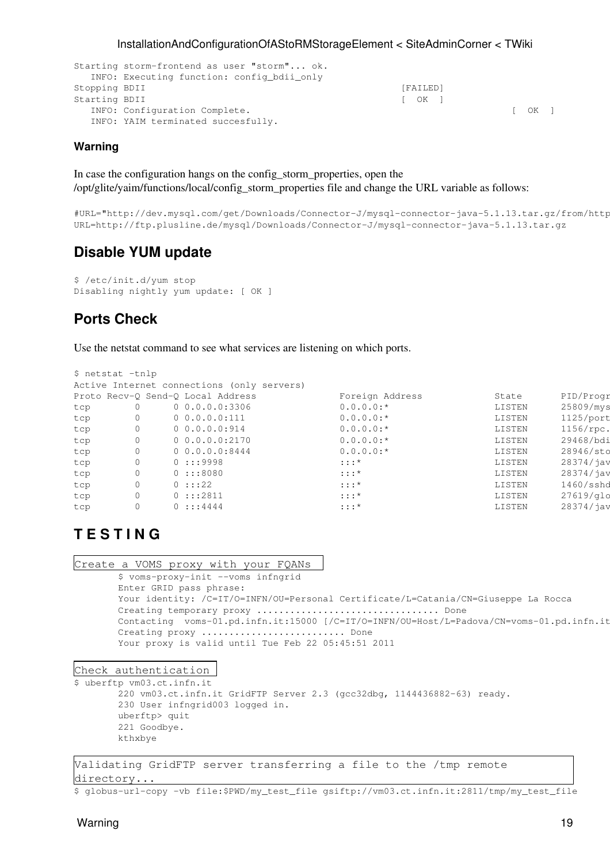```
Starting storm-frontend as user "storm"... ok.
  INFO: Executing function: config_bdii_only 
Stopping BDII [FAILED]
Starting BDII [ OK ]
 INFO: Configuration Complete. [ OK ]
  INFO: YAIM terminated succesfully.
```
### **Warning**

In case the configuration hangs on the config\_storm\_properties, open the /opt/glite/yaim/functions/local/config\_storm\_properties file and change the URL variable as follows:

```
#URL="http://dev.mysql.com/qet/Downloads/Connector-J/mysql-connector-java-5.1.13.tar.qz/from/http
URL=http://ftp.plusline.de/mysql/Downloads/Connector-J/mysql-connector-java-5.1.13.tar.gz
```
## **Disable YUM update**

\$ /etc/init.d/yum stop Disabling nightly yum update: [ OK ]

# **Ports Check**

Use the netstat command to see what services are listening on which ports.

```
$ netstat -tnlp
Active Internet connections (only servers)
Proto Recv-Q Send-Q Local Address Foreign Address State PID/Progress<br>tcp     0  0 0.0.0.0:3306         0.0.0.0:*           LISTEN 25809/mys
tcp 0 0 0.0.0.0:3306 0.0.0.0: * LISTEN
tcp 0 0 0.0.0.0:111 0.0.0.0.0:* LISTEN 1125/port
tcp 0 0 0.0.0.0:914 0.0.0.0: * LISTEN 1156/rpc.
tcp     0    0 0.0.0.0:2170          0.0.0.0:*            LISTEN    29468/bdi
tcp     0    0 0.0.0.0:8444          0.0.0.0:*            LISTEN    28946/sto
tcp 0 0 :::9998 :::* LISTEN 28374/java 
tcp 0 0 :::8080 :::* :::* LISTEN 28374/jav
tcp 0 0 :::22 :::* LISTEN 1460/sshd 
tcp     0   0 :::2811            :::*              LISTEN    27619/glo
tcp 0 0 :::4444 :::* LISTEN 28374/java
```
# **T E S T I N G**

```
Create a VOMS proxy with your FQANs
         $ voms-proxy-init --voms infngrid
        Enter GRID pass phrase:
         Your identity: /C=IT/O=INFN/OU=Personal Certificate/L=Catania/CN=Giuseppe La Rocca
         Creating temporary proxy ................................. Done
        Contacting voms-01.pd.infn.it:15000 [/C=IT/O=INFN/OU=Host/L=Padova/CN=voms-01.pd.infn.it
       Creating proxy ............................... Done
         Your proxy is valid until Tue Feb 22 05:45:51 2011
```

```
Check authentication
```
\$ uberftp vm03.ct.infn.it

 220 vm03.ct.infn.it GridFTP Server 2.3 (gcc32dbg, 1144436882-63) ready. 230 User infngrid003 logged in. uberftp> quit 221 Goodbye. kthxbye

Validating [GridFTP](https://wiki-igi.cnaf.infn.it/twiki/bin/edit/SiteAdminCorner/GridFTP?topicparent=SiteAdminCorner.InstallationAndConfigurationOfAStoRMStorageElement;nowysiwyg=0) server transferring a file to the /tmp remote directory...

\$ globus-url-copy -vb file:\$PWD/my\_test\_file gsiftp://vm03.ct.infn.it:2811/tmp/my\_test\_file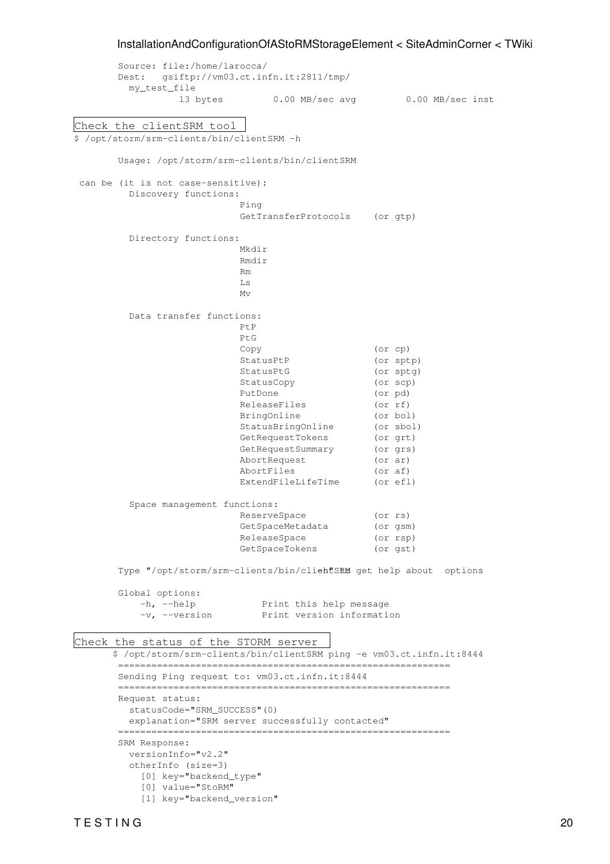Source: file:/home/larocca/ Dest: gsiftp://vm03.ct.infn.it:2811/tmp/ my\_test\_file 13 bytes 0.00 MB/sec avg 0.00 MB/sec inst Check the clientSRM tool \$ /opt/storm/srm-clients/bin/clientSRM -h Usage: /opt/storm/srm-clients/bin/clientSRM can be (it is not case-sensitive): Discovery functions: Ping Reserve the Second Ping Reserve that the Second Ping Reserve that the Second Ping Reserve that the Second Ping GetTransferProtocols (or gtp) Directory functions: Mkdir Rmdir Rm Ls Mv Data transfer functions: PtP PtG Copy (or cp) StatusPtP (or sptp) StatusPtG (or sptg) StatusCopy (or scp) PutDone (or pd) ReleaseFiles (or rf) BringOnline (or bol) StatusBringOnline (or sbol) GetRequestTokens (or grt) GetRequestSummary (or grs) AbortRequest (or ar) AbortFiles (or af) ExtendFileLifeTime (or efl) Space management functions: ReserveSpace (or rs) GetSpaceMetadata (or gsm) ReleaseSpace (or rsp) GetSpaceTokens (or gst) Type "/opt/storm/srm-clients/bin/clientSRM get help about options Global options: -h, --help Print this help message -v, --version Print version information Check the status of the STORM server \$ /opt/storm/srm-clients/bin/clientSRM ping -e vm03.ct.infn.it:8444 ============================================================ Sending Ping request to: vm03.ct.infn.it:8444 ============================================================ Request status: statusCode="SRM\_SUCCESS"(0) explanation="SRM server successfully contacted" ============================================================ SRM Response: versionInfo="v2.2" otherInfo (size=3) [0] key="backend\_type" [0] value="StoRM"

[1] key="backend version"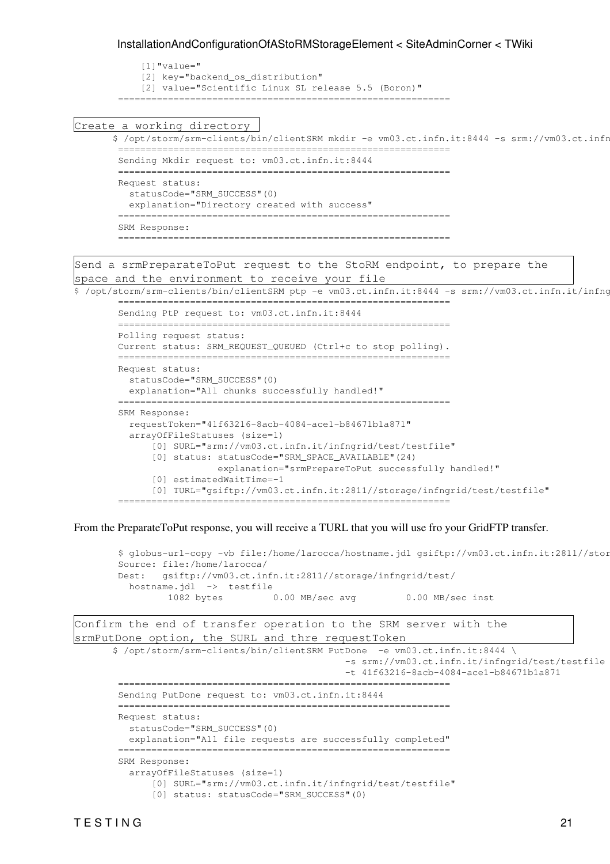```
 InstallationAndConfigurationOfAStoRMStorageElement < SiteAdminCorner < TWiki
```

```
[1] "value="
     [2] key="backend_os_distribution"
     [2] value="Scientific Linux SL release 5.5 (Boron)"
 ============================================================
```

```
Create a working directory
```

```
 $ /opt/storm/srm-clients/bin/clientSRM mkdir -e vm03.ct.infn.it:8444 -s srm://vm03.ct.infn.it/infngrid/test
      ============================================================
  Sending Mkdir request to: vm03.ct.infn.it:8444
  ============================================================
 Request status:
   statusCode="SRM_SUCCESS"(0)
    explanation="Directory created with success"
  ============================================================
  SRM Response:
```
============================================================

Send a srmPreparateToPut request to the [StoRM](https://wiki-igi.cnaf.infn.it/twiki/bin/edit/SiteAdminCorner/StoRM?topicparent=SiteAdminCorner.InstallationAndConfigurationOfAStoRMStorageElement;nowysiwyg=0) endpoint, to prepare the space and the environment to receive your file

\$ /opt/storm/srm-clients/bin/clientSRM ptp -e vm03.ct.infn.it:8444 -s srm://vm03.ct.infn.it/infng ============================================================

```
 Sending PtP request to: vm03.ct.infn.it:8444
 ============================================================
 Polling request status:
 Current status: SRM_REQUEST_QUEUED (Ctrl+c to stop polling).
  ============================================================
 Request status:
   statusCode="SRM_SUCCESS"(0)
   explanation="All chunks successfully handled!"
 ============================================================
 SRM Response:
   requestToken="41f63216-8acb-4084-ace1-b84671b1a871"
   arrayOfFileStatuses (size=1)
       [0] SURL="srm://vm03.ct.infn.it/infngrid/test/testfile"
       [0] status: statusCode="SRM_SPACE_AVAILABLE"(24)
                   explanation="srmPrepareToPut successfully handled!"
       [0] estimatedWaitTime=-1
       [0] TURL="gsiftp://vm03.ct.infn.it:2811//storage/infngrid/test/testfile"
```
============================================================

From the [PreparateToPut](https://wiki-igi.cnaf.infn.it/twiki/bin/edit/SiteAdminCorner/PreparateToPut?topicparent=SiteAdminCorner.InstallationAndConfigurationOfAStoRMStorageElement;nowysiwyg=0) response, you will receive a TURL that you will use fro your [GridFTP](https://wiki-igi.cnaf.infn.it/twiki/bin/edit/SiteAdminCorner/GridFTP?topicparent=SiteAdminCorner.InstallationAndConfigurationOfAStoRMStorageElement;nowysiwyg=0) transfer.

```
$ globus-url-copy -vb file:/home/larocca/hostname.jdl gsiftp://vm03.ct.infn.it:2811//stor
 Source: file:/home/larocca/
 Dest: gsiftp://vm03.ct.infn.it:2811//storage/infngrid/test/
  hostname.jdl -> testfile
         1082 bytes 0.00 MB/sec avg 0.00 MB/sec inst
```
Confirm the end of transfer operation to the SRM server with the srmPutDone option, the SURL and thre requestToken

```
 $ /opt/storm/srm-clients/bin/clientSRM PutDone -e vm03.ct.infn.it:8444 \
                                            -s srm://vm03.ct.infn.it/infngrid/test/testfile \
                                            -t 41f63216-8acb-4084-ace1-b84671b1a871
 ============================================================
 Sending PutDone request to: vm03.ct.infn.it:8444
  ============================================================
 Request status:
   statusCode="SRM_SUCCESS"(0)
   explanation="All file requests are successfully completed"
 ============================================================
 SRM Response:
   arrayOfFileStatuses (size=1)
        [0] SURL="srm://vm03.ct.infn.it/infngrid/test/testfile"
        [0] status: statusCode="SRM_SUCCESS"(0)
```